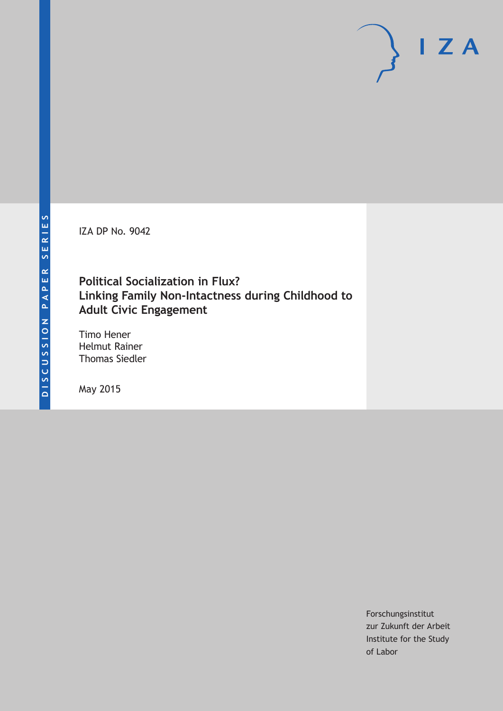IZA DP No. 9042

## **Political Socialization in Flux? Linking Family Non-Intactness during Childhood to Adult Civic Engagement**

Timo Hener Helmut Rainer Thomas Siedler

May 2015

Forschungsinstitut zur Zukunft der Arbeit Institute for the Study of Labor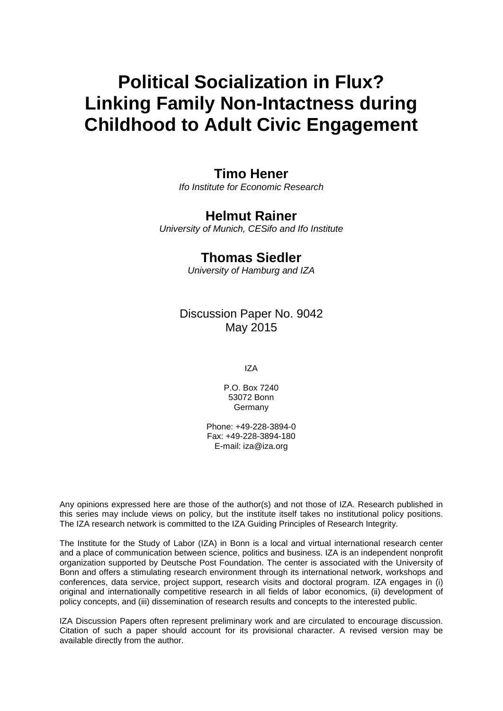# **Political Socialization in Flux? Linking Family Non-Intactness during Childhood to Adult Civic Engagement**

## **Timo Hener**

*Ifo Institute for Economic Research*

## **Helmut Rainer**

*University of Munich, CESifo and Ifo Institute* 

## **Thomas Siedler**

*University of Hamburg and IZA*

Discussion Paper No. 9042 May 2015

IZA

P.O. Box 7240 53072 Bonn Germany

Phone: +49-228-3894-0 Fax: +49-228-3894-180 E-mail: iza@iza.org

Any opinions expressed here are those of the author(s) and not those of IZA. Research published in this series may include views on policy, but the institute itself takes no institutional policy positions. The IZA research network is committed to the IZA Guiding Principles of Research Integrity.

The Institute for the Study of Labor (IZA) in Bonn is a local and virtual international research center and a place of communication between science, politics and business. IZA is an independent nonprofit organization supported by Deutsche Post Foundation. The center is associated with the University of Bonn and offers a stimulating research environment through its international network, workshops and conferences, data service, project support, research visits and doctoral program. IZA engages in (i) original and internationally competitive research in all fields of labor economics, (ii) development of policy concepts, and (iii) dissemination of research results and concepts to the interested public.

IZA Discussion Papers often represent preliminary work and are circulated to encourage discussion. Citation of such a paper should account for its provisional character. A revised version may be available directly from the author.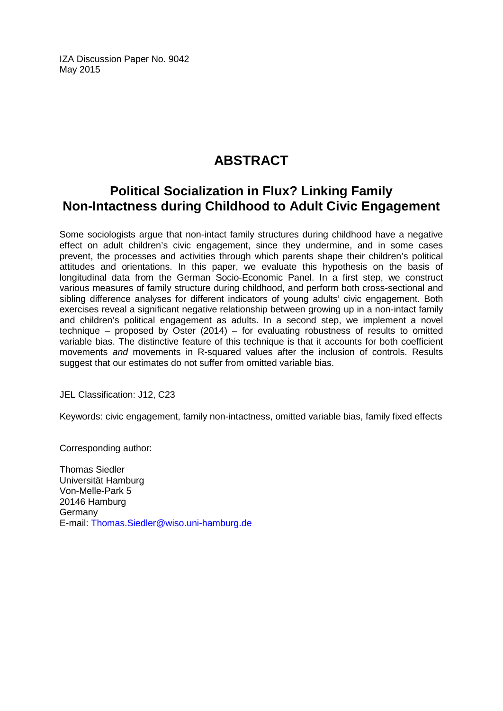IZA Discussion Paper No. 9042 May 2015

## **ABSTRACT**

## **Political Socialization in Flux? Linking Family Non-Intactness during Childhood to Adult Civic Engagement**

Some sociologists argue that non-intact family structures during childhood have a negative effect on adult children's civic engagement, since they undermine, and in some cases prevent, the processes and activities through which parents shape their children's political attitudes and orientations. In this paper, we evaluate this hypothesis on the basis of longitudinal data from the German Socio-Economic Panel. In a first step, we construct various measures of family structure during childhood, and perform both cross-sectional and sibling difference analyses for different indicators of young adults' civic engagement. Both exercises reveal a significant negative relationship between growing up in a non-intact family and children's political engagement as adults. In a second step, we implement a novel technique – proposed by Oster (2014) – for evaluating robustness of results to omitted variable bias. The distinctive feature of this technique is that it accounts for both coefficient movements *and* movements in R-squared values after the inclusion of controls. Results suggest that our estimates do not suffer from omitted variable bias.

JEL Classification: J12, C23

Keywords: civic engagement, family non-intactness, omitted variable bias, family fixed effects

Corresponding author:

Thomas Siedler Universität Hamburg Von-Melle-Park 5 20146 Hamburg **Germany** E-mail: [Thomas.Siedler@wiso.uni-hamburg.de](mailto:Thomas.Siedler@wiso.uni-hamburg.de)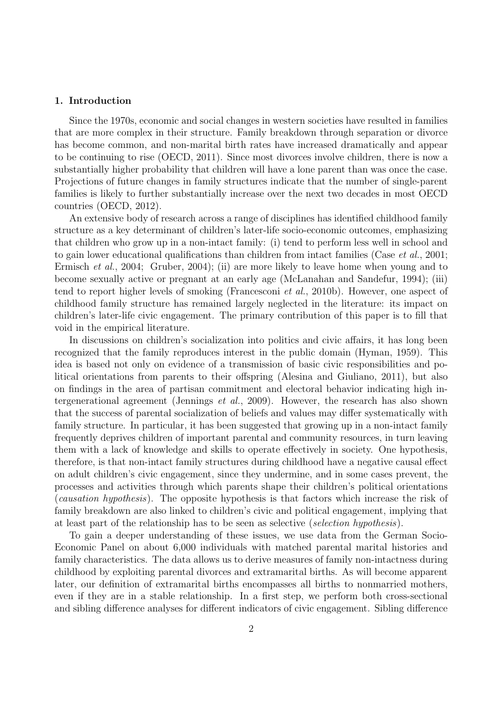#### 1. Introduction

Since the 1970s, economic and social changes in western societies have resulted in families that are more complex in their structure. Family breakdown through separation or divorce has become common, and non-marital birth rates have increased dramatically and appear to be continuing to rise (OECD, 2011). Since most divorces involve children, there is now a substantially higher probability that children will have a lone parent than was once the case. Projections of future changes in family structures indicate that the number of single-parent families is likely to further substantially increase over the next two decades in most OECD countries (OECD, 2012).

An extensive body of research across a range of disciplines has identified childhood family structure as a key determinant of children's later-life socio-economic outcomes, emphasizing that children who grow up in a non-intact family: (i) tend to perform less well in school and to gain lower educational qualifications than children from intact families (Case *et al.*, 2001; Ermisch et al., 2004; Gruber, 2004); (ii) are more likely to leave home when young and to become sexually active or pregnant at an early age (McLanahan and Sandefur, 1994); (iii) tend to report higher levels of smoking (Francesconi et al., 2010b). However, one aspect of childhood family structure has remained largely neglected in the literature: its impact on children's later-life civic engagement. The primary contribution of this paper is to fill that void in the empirical literature.

In discussions on children's socialization into politics and civic affairs, it has long been recognized that the family reproduces interest in the public domain (Hyman, 1959). This idea is based not only on evidence of a transmission of basic civic responsibilities and political orientations from parents to their offspring (Alesina and Giuliano, 2011), but also on findings in the area of partisan commitment and electoral behavior indicating high intergenerational agreement (Jennings et al., 2009). However, the research has also shown that the success of parental socialization of beliefs and values may differ systematically with family structure. In particular, it has been suggested that growing up in a non-intact family frequently deprives children of important parental and community resources, in turn leaving them with a lack of knowledge and skills to operate effectively in society. One hypothesis, therefore, is that non-intact family structures during childhood have a negative causal effect on adult children's civic engagement, since they undermine, and in some cases prevent, the processes and activities through which parents shape their children's political orientations (causation hypothesis). The opposite hypothesis is that factors which increase the risk of family breakdown are also linked to children's civic and political engagement, implying that at least part of the relationship has to be seen as selective (selection hypothesis).

To gain a deeper understanding of these issues, we use data from the German Socio-Economic Panel on about 6,000 individuals with matched parental marital histories and family characteristics. The data allows us to derive measures of family non-intactness during childhood by exploiting parental divorces and extramarital births. As will become apparent later, our definition of extramarital births encompasses all births to nonmarried mothers, even if they are in a stable relationship. In a first step, we perform both cross-sectional and sibling difference analyses for different indicators of civic engagement. Sibling difference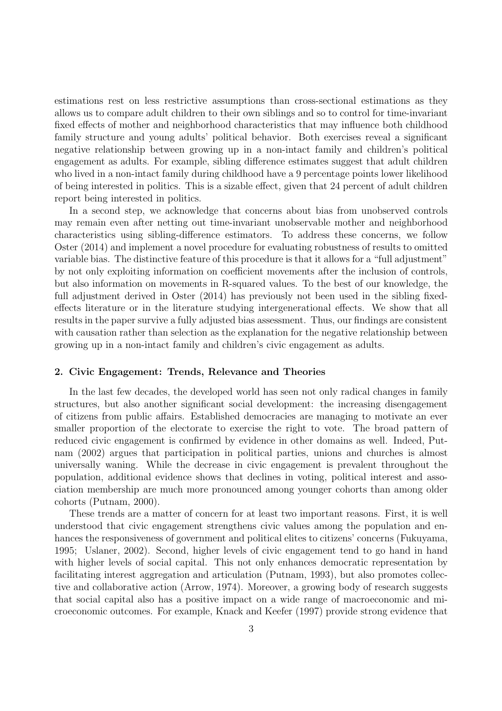estimations rest on less restrictive assumptions than cross-sectional estimations as they allows us to compare adult children to their own siblings and so to control for time-invariant fixed effects of mother and neighborhood characteristics that may influence both childhood family structure and young adults' political behavior. Both exercises reveal a significant negative relationship between growing up in a non-intact family and children's political engagement as adults. For example, sibling difference estimates suggest that adult children who lived in a non-intact family during childhood have a 9 percentage points lower likelihood of being interested in politics. This is a sizable effect, given that 24 percent of adult children report being interested in politics.

In a second step, we acknowledge that concerns about bias from unobserved controls may remain even after netting out time-invariant unobservable mother and neighborhood characteristics using sibling-difference estimators. To address these concerns, we follow Oster (2014) and implement a novel procedure for evaluating robustness of results to omitted variable bias. The distinctive feature of this procedure is that it allows for a "full adjustment" by not only exploiting information on coefficient movements after the inclusion of controls, but also information on movements in R-squared values. To the best of our knowledge, the full adjustment derived in Oster (2014) has previously not been used in the sibling fixedeffects literature or in the literature studying intergenerational effects. We show that all results in the paper survive a fully adjusted bias assessment. Thus, our findings are consistent with causation rather than selection as the explanation for the negative relationship between growing up in a non-intact family and children's civic engagement as adults.

#### 2. Civic Engagement: Trends, Relevance and Theories

In the last few decades, the developed world has seen not only radical changes in family structures, but also another significant social development: the increasing disengagement of citizens from public affairs. Established democracies are managing to motivate an ever smaller proportion of the electorate to exercise the right to vote. The broad pattern of reduced civic engagement is confirmed by evidence in other domains as well. Indeed, Putnam (2002) argues that participation in political parties, unions and churches is almost universally waning. While the decrease in civic engagement is prevalent throughout the population, additional evidence shows that declines in voting, political interest and association membership are much more pronounced among younger cohorts than among older cohorts (Putnam, 2000).

These trends are a matter of concern for at least two important reasons. First, it is well understood that civic engagement strengthens civic values among the population and enhances the responsiveness of government and political elites to citizens' concerns (Fukuyama, 1995; Uslaner, 2002). Second, higher levels of civic engagement tend to go hand in hand with higher levels of social capital. This not only enhances democratic representation by facilitating interest aggregation and articulation (Putnam, 1993), but also promotes collective and collaborative action (Arrow, 1974). Moreover, a growing body of research suggests that social capital also has a positive impact on a wide range of macroeconomic and microeconomic outcomes. For example, Knack and Keefer (1997) provide strong evidence that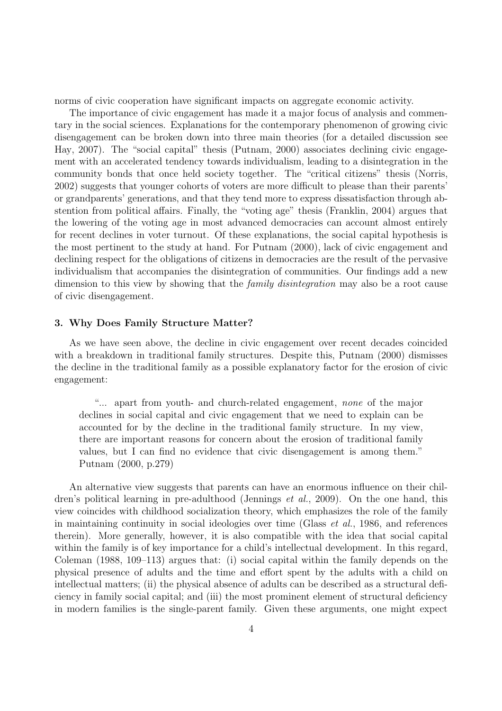norms of civic cooperation have significant impacts on aggregate economic activity.

The importance of civic engagement has made it a major focus of analysis and commentary in the social sciences. Explanations for the contemporary phenomenon of growing civic disengagement can be broken down into three main theories (for a detailed discussion see Hay, 2007). The "social capital" thesis (Putnam, 2000) associates declining civic engagement with an accelerated tendency towards individualism, leading to a disintegration in the community bonds that once held society together. The "critical citizens" thesis (Norris, 2002) suggests that younger cohorts of voters are more difficult to please than their parents' or grandparents' generations, and that they tend more to express dissatisfaction through abstention from political affairs. Finally, the "voting age" thesis (Franklin, 2004) argues that the lowering of the voting age in most advanced democracies can account almost entirely for recent declines in voter turnout. Of these explanations, the social capital hypothesis is the most pertinent to the study at hand. For Putnam (2000), lack of civic engagement and declining respect for the obligations of citizens in democracies are the result of the pervasive individualism that accompanies the disintegration of communities. Our findings add a new dimension to this view by showing that the *family disintegration* may also be a root cause of civic disengagement.

#### 3. Why Does Family Structure Matter?

As we have seen above, the decline in civic engagement over recent decades coincided with a breakdown in traditional family structures. Despite this, Putnam (2000) dismisses the decline in the traditional family as a possible explanatory factor for the erosion of civic engagement:

"... apart from youth- and church-related engagement, none of the major declines in social capital and civic engagement that we need to explain can be accounted for by the decline in the traditional family structure. In my view, there are important reasons for concern about the erosion of traditional family values, but I can find no evidence that civic disengagement is among them." Putnam (2000, p.279)

An alternative view suggests that parents can have an enormous influence on their children's political learning in pre-adulthood (Jennings et al., 2009). On the one hand, this view coincides with childhood socialization theory, which emphasizes the role of the family in maintaining continuity in social ideologies over time (Glass et al., 1986, and references therein). More generally, however, it is also compatible with the idea that social capital within the family is of key importance for a child's intellectual development. In this regard, Coleman (1988, 109–113) argues that: (i) social capital within the family depends on the physical presence of adults and the time and effort spent by the adults with a child on intellectual matters; (ii) the physical absence of adults can be described as a structural deficiency in family social capital; and (iii) the most prominent element of structural deficiency in modern families is the single-parent family. Given these arguments, one might expect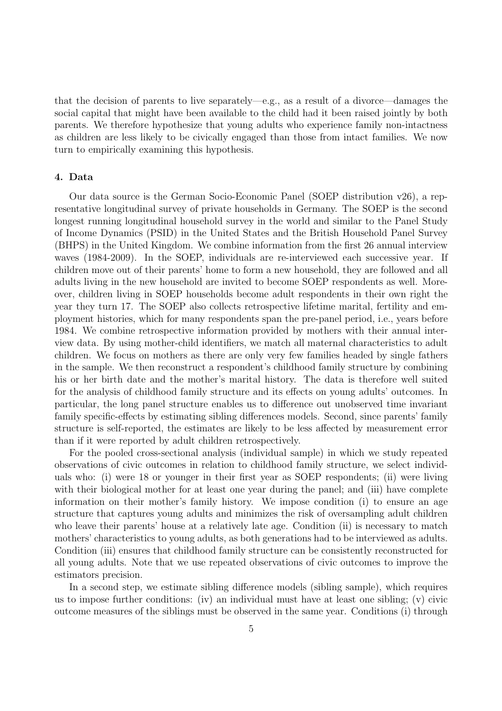that the decision of parents to live separately—e.g., as a result of a divorce—damages the social capital that might have been available to the child had it been raised jointly by both parents. We therefore hypothesize that young adults who experience family non-intactness as children are less likely to be civically engaged than those from intact families. We now turn to empirically examining this hypothesis.

#### 4. Data

Our data source is the German Socio-Economic Panel (SOEP distribution v26), a representative longitudinal survey of private households in Germany. The SOEP is the second longest running longitudinal household survey in the world and similar to the Panel Study of Income Dynamics (PSID) in the United States and the British Household Panel Survey (BHPS) in the United Kingdom. We combine information from the first 26 annual interview waves (1984-2009). In the SOEP, individuals are re-interviewed each successive year. If children move out of their parents' home to form a new household, they are followed and all adults living in the new household are invited to become SOEP respondents as well. Moreover, children living in SOEP households become adult respondents in their own right the year they turn 17. The SOEP also collects retrospective lifetime marital, fertility and employment histories, which for many respondents span the pre-panel period, i.e., years before 1984. We combine retrospective information provided by mothers with their annual interview data. By using mother-child identifiers, we match all maternal characteristics to adult children. We focus on mothers as there are only very few families headed by single fathers in the sample. We then reconstruct a respondent's childhood family structure by combining his or her birth date and the mother's marital history. The data is therefore well suited for the analysis of childhood family structure and its effects on young adults' outcomes. In particular, the long panel structure enables us to difference out unobserved time invariant family specific-effects by estimating sibling differences models. Second, since parents' family structure is self-reported, the estimates are likely to be less affected by measurement error than if it were reported by adult children retrospectively.

For the pooled cross-sectional analysis (individual sample) in which we study repeated observations of civic outcomes in relation to childhood family structure, we select individuals who: (i) were 18 or younger in their first year as SOEP respondents; (ii) were living with their biological mother for at least one year during the panel; and (iii) have complete information on their mother's family history. We impose condition (i) to ensure an age structure that captures young adults and minimizes the risk of oversampling adult children who leave their parents' house at a relatively late age. Condition (ii) is necessary to match mothers' characteristics to young adults, as both generations had to be interviewed as adults. Condition (iii) ensures that childhood family structure can be consistently reconstructed for all young adults. Note that we use repeated observations of civic outcomes to improve the estimators precision.

In a second step, we estimate sibling difference models (sibling sample), which requires us to impose further conditions: (iv) an individual must have at least one sibling; (v) civic outcome measures of the siblings must be observed in the same year. Conditions (i) through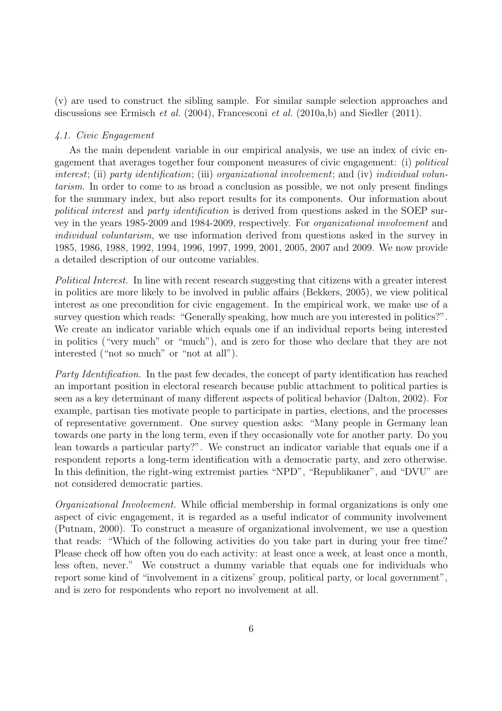(v) are used to construct the sibling sample. For similar sample selection approaches and discussions see Ermisch et al. (2004), Francesconi et al. (2010a,b) and Siedler (2011).

#### 4.1. Civic Engagement

As the main dependent variable in our empirical analysis, we use an index of civic engagement that averages together four component measures of civic engagement: (i) political interest; (ii) party identification; (iii) organizational involvement; and (iv) individual voluntarism. In order to come to as broad a conclusion as possible, we not only present findings for the summary index, but also report results for its components. Our information about political interest and party identification is derived from questions asked in the SOEP survey in the years 1985-2009 and 1984-2009, respectively. For organizational involvement and individual voluntarism, we use information derived from questions asked in the survey in 1985, 1986, 1988, 1992, 1994, 1996, 1997, 1999, 2001, 2005, 2007 and 2009. We now provide a detailed description of our outcome variables.

Political Interest. In line with recent research suggesting that citizens with a greater interest in politics are more likely to be involved in public affairs (Bekkers, 2005), we view political interest as one precondition for civic engagement. In the empirical work, we make use of a survey question which reads: "Generally speaking, how much are you interested in politics?". We create an indicator variable which equals one if an individual reports being interested in politics ("very much" or "much"), and is zero for those who declare that they are not interested ("not so much" or "not at all").

Party Identification. In the past few decades, the concept of party identification has reached an important position in electoral research because public attachment to political parties is seen as a key determinant of many different aspects of political behavior (Dalton, 2002). For example, partisan ties motivate people to participate in parties, elections, and the processes of representative government. One survey question asks: "Many people in Germany lean towards one party in the long term, even if they occasionally vote for another party. Do you lean towards a particular party?". We construct an indicator variable that equals one if a respondent reports a long-term identification with a democratic party, and zero otherwise. In this definition, the right-wing extremist parties "NPD", "Republikaner", and "DVU" are not considered democratic parties.

Organizational Involvement. While official membership in formal organizations is only one aspect of civic engagement, it is regarded as a useful indicator of community involvement (Putnam, 2000). To construct a measure of organizational involvement, we use a question that reads: "Which of the following activities do you take part in during your free time? Please check off how often you do each activity: at least once a week, at least once a month, less often, never." We construct a dummy variable that equals one for individuals who report some kind of "involvement in a citizens' group, political party, or local government", and is zero for respondents who report no involvement at all.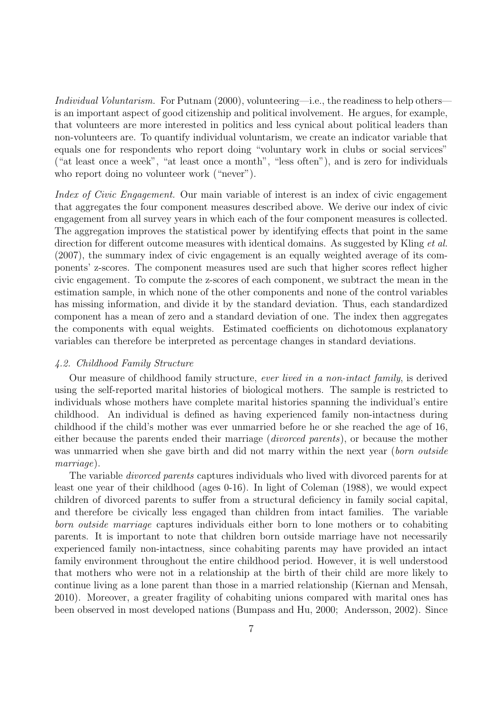Individual Voluntarism. For Putnam (2000), volunteering—i.e., the readiness to help others is an important aspect of good citizenship and political involvement. He argues, for example, that volunteers are more interested in politics and less cynical about political leaders than non-volunteers are. To quantify individual voluntarism, we create an indicator variable that equals one for respondents who report doing "voluntary work in clubs or social services" ("at least once a week", "at least once a month", "less often"), and is zero for individuals who report doing no volunteer work ("never").

Index of Civic Engagement. Our main variable of interest is an index of civic engagement that aggregates the four component measures described above. We derive our index of civic engagement from all survey years in which each of the four component measures is collected. The aggregation improves the statistical power by identifying effects that point in the same direction for different outcome measures with identical domains. As suggested by Kling *et al.* (2007), the summary index of civic engagement is an equally weighted average of its components' z-scores. The component measures used are such that higher scores reflect higher civic engagement. To compute the z-scores of each component, we subtract the mean in the estimation sample, in which none of the other components and none of the control variables has missing information, and divide it by the standard deviation. Thus, each standardized component has a mean of zero and a standard deviation of one. The index then aggregates the components with equal weights. Estimated coefficients on dichotomous explanatory variables can therefore be interpreted as percentage changes in standard deviations.

#### 4.2. Childhood Family Structure

Our measure of childhood family structure, ever lived in a non-intact family, is derived using the self-reported marital histories of biological mothers. The sample is restricted to individuals whose mothers have complete marital histories spanning the individual's entire childhood. An individual is defined as having experienced family non-intactness during childhood if the child's mother was ever unmarried before he or she reached the age of 16, either because the parents ended their marriage (divorced parents), or because the mother was unmarried when she gave birth and did not marry within the next year (born outside marriage).

The variable divorced parents captures individuals who lived with divorced parents for at least one year of their childhood (ages 0-16). In light of Coleman (1988), we would expect children of divorced parents to suffer from a structural deficiency in family social capital, and therefore be civically less engaged than children from intact families. The variable born outside marriage captures individuals either born to lone mothers or to cohabiting parents. It is important to note that children born outside marriage have not necessarily experienced family non-intactness, since cohabiting parents may have provided an intact family environment throughout the entire childhood period. However, it is well understood that mothers who were not in a relationship at the birth of their child are more likely to continue living as a lone parent than those in a married relationship (Kiernan and Mensah, 2010). Moreover, a greater fragility of cohabiting unions compared with marital ones has been observed in most developed nations (Bumpass and Hu, 2000; Andersson, 2002). Since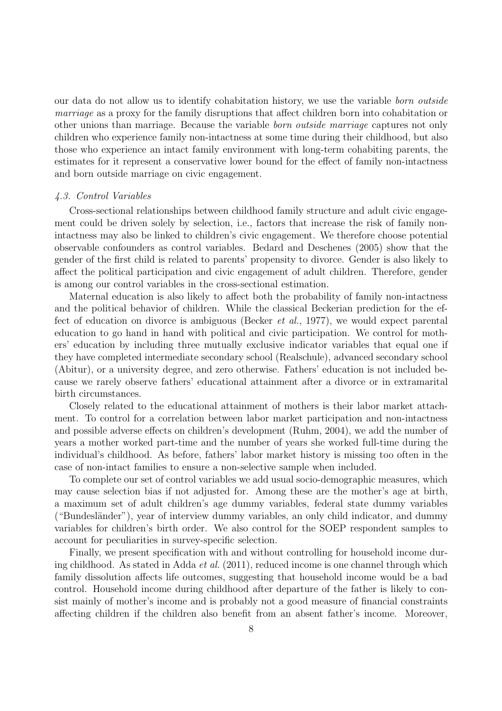our data do not allow us to identify cohabitation history, we use the variable born outside marriage as a proxy for the family disruptions that affect children born into cohabitation or other unions than marriage. Because the variable born outside marriage captures not only children who experience family non-intactness at some time during their childhood, but also those who experience an intact family environment with long-term cohabiting parents, the estimates for it represent a conservative lower bound for the effect of family non-intactness and born outside marriage on civic engagement.

#### 4.3. Control Variables

Cross-sectional relationships between childhood family structure and adult civic engagement could be driven solely by selection, i.e., factors that increase the risk of family nonintactness may also be linked to children's civic engagement. We therefore choose potential observable confounders as control variables. Bedard and Deschenes (2005) show that the gender of the first child is related to parents' propensity to divorce. Gender is also likely to affect the political participation and civic engagement of adult children. Therefore, gender is among our control variables in the cross-sectional estimation.

Maternal education is also likely to affect both the probability of family non-intactness and the political behavior of children. While the classical Beckerian prediction for the effect of education on divorce is ambiguous (Becker et al., 1977), we would expect parental education to go hand in hand with political and civic participation. We control for mothers' education by including three mutually exclusive indicator variables that equal one if they have completed intermediate secondary school (Realschule), advanced secondary school (Abitur), or a university degree, and zero otherwise. Fathers' education is not included because we rarely observe fathers' educational attainment after a divorce or in extramarital birth circumstances.

Closely related to the educational attainment of mothers is their labor market attachment. To control for a correlation between labor market participation and non-intactness and possible adverse effects on children's development (Ruhm, 2004), we add the number of years a mother worked part-time and the number of years she worked full-time during the individual's childhood. As before, fathers' labor market history is missing too often in the case of non-intact families to ensure a non-selective sample when included.

To complete our set of control variables we add usual socio-demographic measures, which may cause selection bias if not adjusted for. Among these are the mother's age at birth, a maximum set of adult children's age dummy variables, federal state dummy variables ("Bundesländer"), year of interview dummy variables, an only child indicator, and dummy variables for children's birth order. We also control for the SOEP respondent samples to account for peculiarities in survey-specific selection.

Finally, we present specification with and without controlling for household income during childhood. As stated in Adda et al. (2011), reduced income is one channel through which family dissolution affects life outcomes, suggesting that household income would be a bad control. Household income during childhood after departure of the father is likely to consist mainly of mother's income and is probably not a good measure of financial constraints affecting children if the children also benefit from an absent father's income. Moreover,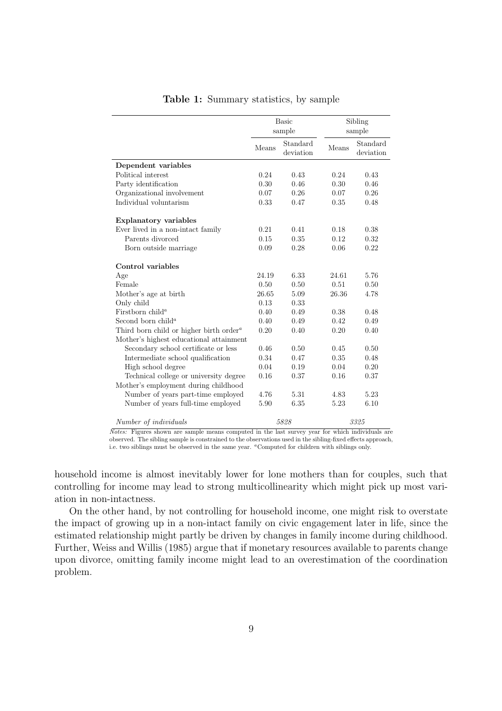|                                                     |       | <b>Basic</b><br>sample |       | Sibling<br>sample     |
|-----------------------------------------------------|-------|------------------------|-------|-----------------------|
|                                                     | Means | Standard<br>deviation  | Means | Standard<br>deviation |
| Dependent variables                                 |       |                        |       |                       |
| Political interest                                  | 0.24  | 0.43                   | 0.24  | 0.43                  |
| Party identification                                | 0.30  | 0.46                   | 0.30  | 0.46                  |
| Organizational involvement                          | 0.07  | 0.26                   | 0.07  | 0.26                  |
| Individual voluntarism                              | 0.33  | 0.47                   | 0.35  | 0.48                  |
| <b>Explanatory variables</b>                        |       |                        |       |                       |
| Ever lived in a non-intact family                   | 0.21  | 0.41                   | 0.18  | 0.38                  |
| Parents divorced                                    | 0.15  | 0.35                   | 0.12  | 0.32                  |
| Born outside marriage                               | 0.09  | 0.28                   | 0.06  | 0.22                  |
| Control variables                                   |       |                        |       |                       |
| Age                                                 | 24.19 | 6.33                   | 24.61 | 5.76                  |
| Female                                              | 0.50  | 0.50                   | 0.51  | 0.50                  |
| Mother's age at birth                               | 26.65 | 5.09                   | 26.36 | 4.78                  |
| Only child                                          | 0.13  | 0.33                   |       |                       |
| Firstborn child <sup>a</sup>                        | 0.40  | 0.49                   | 0.38  | 0.48                  |
| Second born child <sup>a</sup>                      | 0.40  | 0.49                   | 0.42  | 0.49                  |
| Third born child or higher birth order <sup>a</sup> | 0.20  | 0.40                   | 0.20  | 0.40                  |
| Mother's highest educational attainment             |       |                        |       |                       |
| Secondary school certificate or less                | 0.46  | 0.50                   | 0.45  | 0.50                  |
| Intermediate school qualification                   | 0.34  | 0.47                   | 0.35  | 0.48                  |
| High school degree                                  | 0.04  | 0.19                   | 0.04  | 0.20                  |
| Technical college or university degree              | 0.16  | 0.37                   | 0.16  | 0.37                  |
| Mother's employment during childhood                |       |                        |       |                       |
| Number of years part-time employed                  | 4.76  | 5.31                   | 4.83  | 5.23                  |
| Number of years full-time employed                  | 5.90  | 6.35                   | 5.23  | 6.10                  |
| Number of individuals                               |       | 5828                   |       | 3325                  |

#### Table 1: Summary statistics, by sample

Notes: Figures shown are sample means computed in the last survey year for which individuals are observed. The sibling sample is constrained to the observations used in the sibling-fixed effects approach, i.e. two siblings must be observed in the same year. "Computed for children with siblings only.

household income is almost inevitably lower for lone mothers than for couples, such that controlling for income may lead to strong multicollinearity which might pick up most variation in non-intactness.

On the other hand, by not controlling for household income, one might risk to overstate the impact of growing up in a non-intact family on civic engagement later in life, since the estimated relationship might partly be driven by changes in family income during childhood. Further, Weiss and Willis (1985) argue that if monetary resources available to parents change upon divorce, omitting family income might lead to an overestimation of the coordination problem.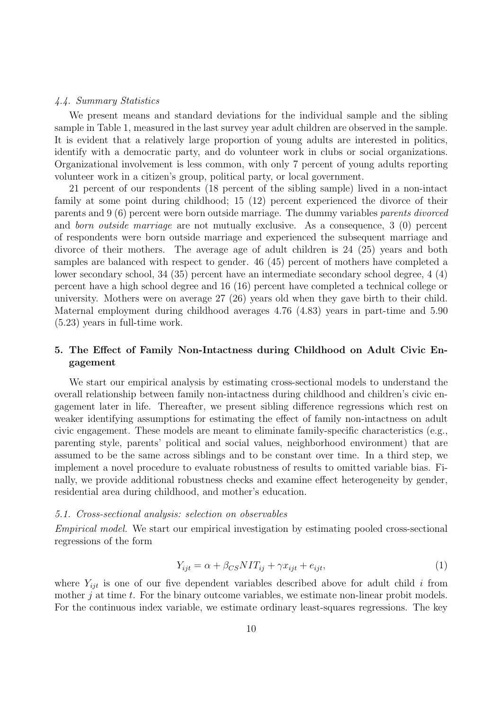#### 4.4. Summary Statistics

We present means and standard deviations for the individual sample and the sibling sample in Table 1, measured in the last survey year adult children are observed in the sample. It is evident that a relatively large proportion of young adults are interested in politics, identify with a democratic party, and do volunteer work in clubs or social organizations. Organizational involvement is less common, with only 7 percent of young adults reporting volunteer work in a citizen's group, political party, or local government.

21 percent of our respondents (18 percent of the sibling sample) lived in a non-intact family at some point during childhood; 15 (12) percent experienced the divorce of their parents and 9 (6) percent were born outside marriage. The dummy variables parents divorced and born outside marriage are not mutually exclusive. As a consequence, 3 (0) percent of respondents were born outside marriage and experienced the subsequent marriage and divorce of their mothers. The average age of adult children is 24 (25) years and both samples are balanced with respect to gender. 46 (45) percent of mothers have completed a lower secondary school, 34 (35) percent have an intermediate secondary school degree, 4 (4) percent have a high school degree and 16 (16) percent have completed a technical college or university. Mothers were on average 27 (26) years old when they gave birth to their child. Maternal employment during childhood averages 4.76 (4.83) years in part-time and 5.90 (5.23) years in full-time work.

### 5. The Effect of Family Non-Intactness during Childhood on Adult Civic Engagement

We start our empirical analysis by estimating cross-sectional models to understand the overall relationship between family non-intactness during childhood and children's civic engagement later in life. Thereafter, we present sibling difference regressions which rest on weaker identifying assumptions for estimating the effect of family non-intactness on adult civic engagement. These models are meant to eliminate family-specific characteristics (e.g., parenting style, parents' political and social values, neighborhood environment) that are assumed to be the same across siblings and to be constant over time. In a third step, we implement a novel procedure to evaluate robustness of results to omitted variable bias. Finally, we provide additional robustness checks and examine effect heterogeneity by gender, residential area during childhood, and mother's education.

#### 5.1. Cross-sectional analysis: selection on observables

Empirical model. We start our empirical investigation by estimating pooled cross-sectional regressions of the form

$$
Y_{ijt} = \alpha + \beta_{CS} N I T_{ij} + \gamma x_{ijt} + e_{ijt}, \qquad (1)
$$

where  $Y_{ijt}$  is one of our five dependent variables described above for adult child i from mother  $j$  at time  $t$ . For the binary outcome variables, we estimate non-linear probit models. For the continuous index variable, we estimate ordinary least-squares regressions. The key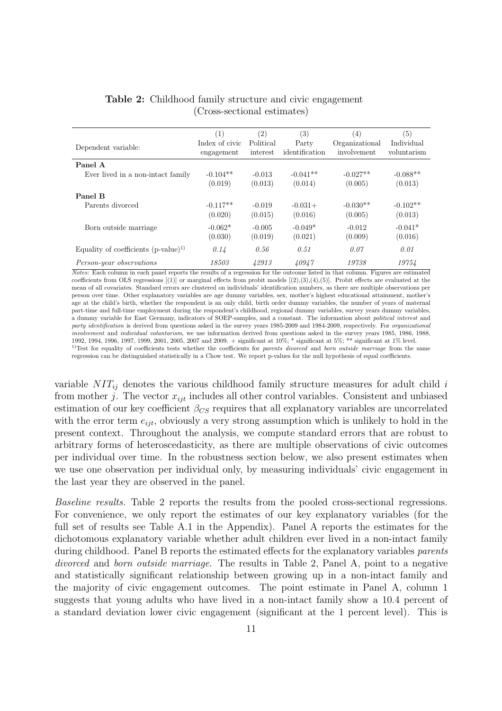| Dependent variable:                      | (1)<br>Index of civic<br>engagement | (2)<br>Political<br>interest | (3)<br>Party<br>identification | $\left(4\right)$<br>Organizational<br>involvement | $\left( 5\right)$<br>Individual<br>voluntarism |
|------------------------------------------|-------------------------------------|------------------------------|--------------------------------|---------------------------------------------------|------------------------------------------------|
| Panel A                                  |                                     |                              |                                |                                                   |                                                |
| Ever lived in a non-intact family        | $-0.104**$                          | $-0.013$                     | $-0.041**$                     | $-0.027**$                                        | $-0.088**$                                     |
|                                          | (0.019)                             | (0.013)                      | (0.014)                        | (0.005)                                           | (0.013)                                        |
| Panel B                                  |                                     |                              |                                |                                                   |                                                |
| Parents divorced                         | $-0.117**$                          | $-0.019$                     | $-0.031+$                      | $-0.030**$                                        | $-0.102**$                                     |
|                                          | (0.020)                             | (0.015)                      | (0.016)                        | (0.005)                                           | (0.013)                                        |
| Born outside marriage                    | $-0.062*$                           | $-0.005$                     | $-0.049*$                      | $-0.012$                                          | $-0.041*$                                      |
|                                          | (0.030)                             | (0.019)                      | (0.021)                        | (0.009)                                           | (0.016)                                        |
| Equality of coefficients $(p-value)^{1}$ | 0.14                                | 0.56                         | 0.51                           | 0.07                                              | 0.01                                           |
| Person-year observations                 | 18503                               | 42913                        | 40947                          | 19738                                             | 19754                                          |

### Table 2: Childhood family structure and civic engagement (Cross-sectional estimates)

Notes: Each column in each panel reports the results of a regression for the outcome listed in that column. Figures are estimated coefficients from OLS regressions  $[(1)]$  or marginal effects from probit models  $[(2),(3),(4),(5)]$ . Probit effects are evaluated at the mean of all covariates. Standard errors are clustered on individuals' identification numbers, as there are multiple observations per person over time. Other explanatory variables are age dummy variables, sex, mother's highest educational attainment, mother's age at the child's birth, whether the respondent is an only child, birth order dummy variables, the number of years of maternal part-time and full-time employment during the respondent's childhood, regional dummy variables, survey years dummy variables, a dummy variable for East Germany, indicators of SOEP-samples, and a constant. The information about political interest and party identification is derived from questions asked in the survey years 1985-2009 and 1984-2009, respectively. For organizational involvement and individual voluntarism, we use information derived from questions asked in the survey years 1985, 1986, 1988, 1992, 1994, 1996, 1997, 1999, 2001, 2005, 2007 and 2009. + significant at 10%; \* significant at 5%; \*\* significant at 1% level.  $1$ Test for equality of coefficients tests whether the coefficients for parents divorced and born outside marriage from the same regression can be distinguished statistically in a Chow test. We report p-values for the null hypothesis of equal coefficients.

variable  $NIT_{ij}$  denotes the various childhood family structure measures for adult child i from mother j. The vector  $x_{iit}$  includes all other control variables. Consistent and unbiased estimation of our key coefficient  $\beta_{CS}$  requires that all explanatory variables are uncorrelated with the error term  $e_{ijt}$ , obviously a very strong assumption which is unlikely to hold in the present context. Throughout the analysis, we compute standard errors that are robust to arbitrary forms of heteroscedasticity, as there are multiple observations of civic outcomes per individual over time. In the robustness section below, we also present estimates when we use one observation per individual only, by measuring individuals' civic engagement in the last year they are observed in the panel.

Baseline results. Table 2 reports the results from the pooled cross-sectional regressions. For convenience, we only report the estimates of our key explanatory variables (for the full set of results see Table A.1 in the Appendix). Panel A reports the estimates for the dichotomous explanatory variable whether adult children ever lived in a non-intact family during childhood. Panel B reports the estimated effects for the explanatory variables *parents* divorced and born outside marriage. The results in Table 2, Panel A, point to a negative and statistically significant relationship between growing up in a non-intact family and the majority of civic engagement outcomes. The point estimate in Panel A, column 1 suggests that young adults who have lived in a non-intact family show a 10.4 percent of a standard deviation lower civic engagement (significant at the 1 percent level). This is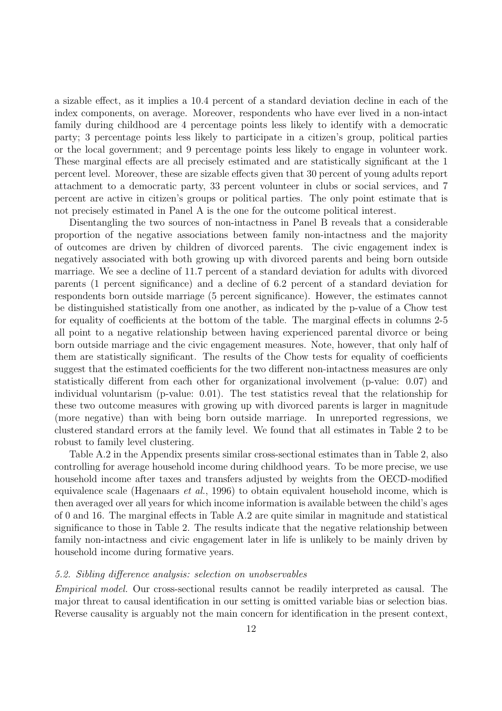a sizable effect, as it implies a 10.4 percent of a standard deviation decline in each of the index components, on average. Moreover, respondents who have ever lived in a non-intact family during childhood are 4 percentage points less likely to identify with a democratic party; 3 percentage points less likely to participate in a citizen's group, political parties or the local government; and 9 percentage points less likely to engage in volunteer work. These marginal effects are all precisely estimated and are statistically significant at the 1 percent level. Moreover, these are sizable effects given that 30 percent of young adults report attachment to a democratic party, 33 percent volunteer in clubs or social services, and 7 percent are active in citizen's groups or political parties. The only point estimate that is not precisely estimated in Panel A is the one for the outcome political interest.

Disentangling the two sources of non-intactness in Panel B reveals that a considerable proportion of the negative associations between family non-intactness and the majority of outcomes are driven by children of divorced parents. The civic engagement index is negatively associated with both growing up with divorced parents and being born outside marriage. We see a decline of 11.7 percent of a standard deviation for adults with divorced parents (1 percent significance) and a decline of 6.2 percent of a standard deviation for respondents born outside marriage (5 percent significance). However, the estimates cannot be distinguished statistically from one another, as indicated by the p-value of a Chow test for equality of coefficients at the bottom of the table. The marginal effects in columns 2-5 all point to a negative relationship between having experienced parental divorce or being born outside marriage and the civic engagement measures. Note, however, that only half of them are statistically significant. The results of the Chow tests for equality of coefficients suggest that the estimated coefficients for the two different non-intactness measures are only statistically different from each other for organizational involvement (p-value: 0.07) and individual voluntarism (p-value: 0.01). The test statistics reveal that the relationship for these two outcome measures with growing up with divorced parents is larger in magnitude (more negative) than with being born outside marriage. In unreported regressions, we clustered standard errors at the family level. We found that all estimates in Table 2 to be robust to family level clustering.

Table A.2 in the Appendix presents similar cross-sectional estimates than in Table 2, also controlling for average household income during childhood years. To be more precise, we use household income after taxes and transfers adjusted by weights from the OECD-modified equivalence scale (Hagenaars et al., 1996) to obtain equivalent household income, which is then averaged over all years for which income information is available between the child's ages of 0 and 16. The marginal effects in Table A.2 are quite similar in magnitude and statistical significance to those in Table 2. The results indicate that the negative relationship between family non-intactness and civic engagement later in life is unlikely to be mainly driven by household income during formative years.

#### 5.2. Sibling difference analysis: selection on unobservables

Empirical model. Our cross-sectional results cannot be readily interpreted as causal. The major threat to causal identification in our setting is omitted variable bias or selection bias. Reverse causality is arguably not the main concern for identification in the present context,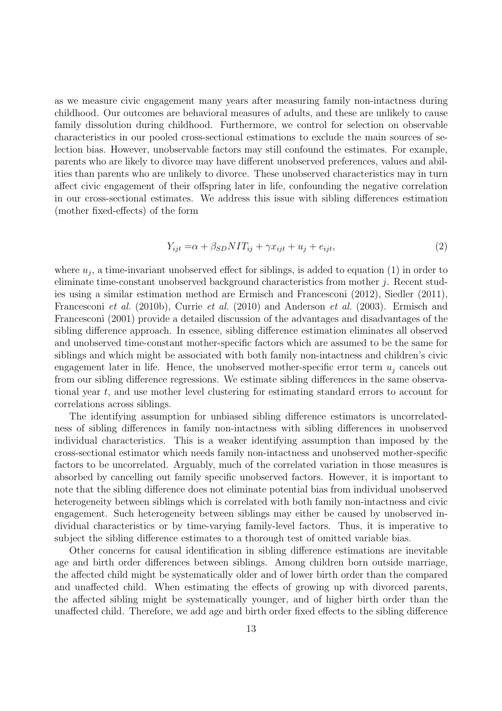as we measure civic engagement many years after measuring family non-intactness during childhood. Our outcomes are behavioral measures of adults, and these are unlikely to cause family dissolution during childhood. Furthermore, we control for selection on observable characteristics in our pooled cross-sectional estimations to exclude the main sources of selection bias. However, unobservable factors may still confound the estimates. For example, parents who are likely to divorce may have different unobserved preferences, values and abilities than parents who are unlikely to divorce. These unobserved characteristics may in turn affect civic engagement of their offspring later in life, confounding the negative correlation in our cross-sectional estimates. We address this issue with sibling differences estimation (mother fixed-effects) of the form

$$
Y_{ijt} = \alpha + \beta_{SD} N I T_{ij} + \gamma x_{ijt} + u_j + e_{ijt}, \qquad (2)
$$

where  $u_j$ , a time-invariant unobserved effect for siblings, is added to equation (1) in order to eliminate time-constant unobserved background characteristics from mother j. Recent studies using a similar estimation method are Ermisch and Francesconi (2012), Siedler (2011), Francesconi et al. (2010b), Currie et al. (2010) and Anderson et al. (2003). Ermisch and Francesconi (2001) provide a detailed discussion of the advantages and disadvantages of the sibling difference approach. In essence, sibling difference estimation eliminates all observed and unobserved time-constant mother-specific factors which are assumed to be the same for siblings and which might be associated with both family non-intactness and children's civic engagement later in life. Hence, the unobserved mother-specific error term  $u_i$  cancels out from our sibling difference regressions. We estimate sibling differences in the same observational year t, and use mother level clustering for estimating standard errors to account for correlations across siblings.

The identifying assumption for unbiased sibling difference estimators is uncorrelatedness of sibling differences in family non-intactness with sibling differences in unobserved individual characteristics. This is a weaker identifying assumption than imposed by the cross-sectional estimator which needs family non-intactness and unobserved mother-specific factors to be uncorrelated. Arguably, much of the correlated variation in those measures is absorbed by cancelling out family specific unobserved factors. However, it is important to note that the sibling difference does not eliminate potential bias from individual unobserved heterogeneity between siblings which is correlated with both family non-intactness and civic engagement. Such heterogeneity between siblings may either be caused by unobserved individual characteristics or by time-varying family-level factors. Thus, it is imperative to subject the sibling difference estimates to a thorough test of omitted variable bias.

Other concerns for causal identification in sibling difference estimations are inevitable age and birth order differences between siblings. Among children born outside marriage, the affected child might be systematically older and of lower birth order than the compared and unaffected child. When estimating the effects of growing up with divorced parents, the affected sibling might be systematically younger, and of higher birth order than the unaffected child. Therefore, we add age and birth order fixed effects to the sibling difference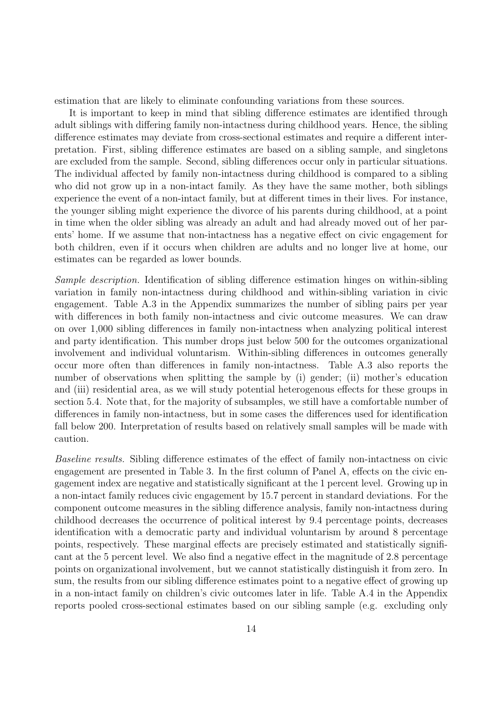estimation that are likely to eliminate confounding variations from these sources.

It is important to keep in mind that sibling difference estimates are identified through adult siblings with differing family non-intactness during childhood years. Hence, the sibling difference estimates may deviate from cross-sectional estimates and require a different interpretation. First, sibling difference estimates are based on a sibling sample, and singletons are excluded from the sample. Second, sibling differences occur only in particular situations. The individual affected by family non-intactness during childhood is compared to a sibling who did not grow up in a non-intact family. As they have the same mother, both siblings experience the event of a non-intact family, but at different times in their lives. For instance, the younger sibling might experience the divorce of his parents during childhood, at a point in time when the older sibling was already an adult and had already moved out of her parents' home. If we assume that non-intactness has a negative effect on civic engagement for both children, even if it occurs when children are adults and no longer live at home, our estimates can be regarded as lower bounds.

Sample description. Identification of sibling difference estimation hinges on within-sibling variation in family non-intactness during childhood and within-sibling variation in civic engagement. Table A.3 in the Appendix summarizes the number of sibling pairs per year with differences in both family non-intactness and civic outcome measures. We can draw on over 1,000 sibling differences in family non-intactness when analyzing political interest and party identification. This number drops just below 500 for the outcomes organizational involvement and individual voluntarism. Within-sibling differences in outcomes generally occur more often than differences in family non-intactness. Table A.3 also reports the number of observations when splitting the sample by (i) gender; (ii) mother's education and (iii) residential area, as we will study potential heterogenous effects for these groups in section 5.4. Note that, for the majority of subsamples, we still have a comfortable number of differences in family non-intactness, but in some cases the differences used for identification fall below 200. Interpretation of results based on relatively small samples will be made with caution.

Baseline results. Sibling difference estimates of the effect of family non-intactness on civic engagement are presented in Table 3. In the first column of Panel A, effects on the civic engagement index are negative and statistically significant at the 1 percent level. Growing up in a non-intact family reduces civic engagement by 15.7 percent in standard deviations. For the component outcome measures in the sibling difference analysis, family non-intactness during childhood decreases the occurrence of political interest by 9.4 percentage points, decreases identification with a democratic party and individual voluntarism by around 8 percentage points, respectively. These marginal effects are precisely estimated and statistically significant at the 5 percent level. We also find a negative effect in the magnitude of 2.8 percentage points on organizational involvement, but we cannot statistically distinguish it from zero. In sum, the results from our sibling difference estimates point to a negative effect of growing up in a non-intact family on children's civic outcomes later in life. Table A.4 in the Appendix reports pooled cross-sectional estimates based on our sibling sample (e.g. excluding only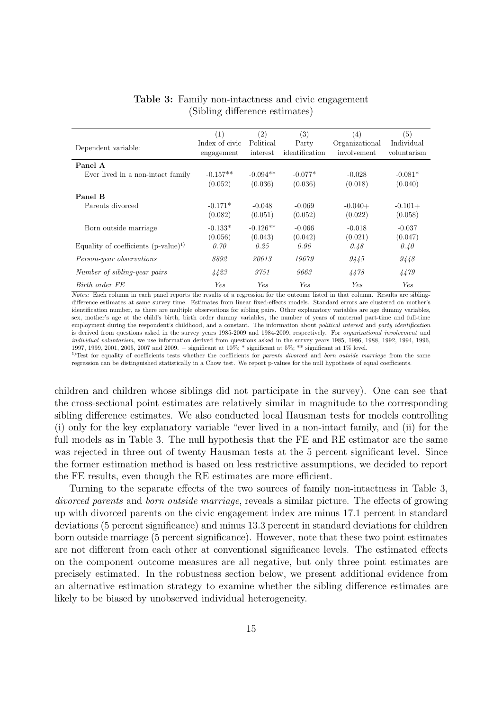| Dependent variable:                                               | (1)<br>Index of civic<br>engagement | (2)<br>Political<br>interest  | (3)<br>Party<br>identification | (4)<br>Organizational<br>involvement | (5)<br>Individual<br>voluntarism |
|-------------------------------------------------------------------|-------------------------------------|-------------------------------|--------------------------------|--------------------------------------|----------------------------------|
| Panel A<br>Ever lived in a non-intact family                      | $-0.157**$<br>(0.052)               | $-0.094**$<br>(0.036)         | $-0.077*$<br>(0.036)           | $-0.028$<br>(0.018)                  | $-0.081*$<br>(0.040)             |
| Panel B<br>Parents divorced                                       | $-0.171*$<br>(0.082)                | $-0.048$<br>(0.051)           | $-0.069$<br>(0.052)            | $-0.040+$<br>(0.022)                 | $-0.101+$<br>(0.058)             |
| Born outside marriage<br>Equality of coefficients $(p-value)^{1}$ | $-0.133*$<br>(0.056)<br>0.70        | $-0.126**$<br>(0.043)<br>0.25 | $-0.066$<br>(0.042)<br>0.96    | $-0.018$<br>(0.021)<br>0.48          | $-0.037$<br>(0.047)<br>0.40      |
| Person-year observations                                          | 8892                                | 20613                         | 19679                          | 9445                                 | 9448                             |
| Number of sibling-year pairs                                      | 4423                                | 9751                          | 9663                           | 4478                                 | 4479                             |
| Birth order FE                                                    | <b>Yes</b>                          | <b>Yes</b>                    | <b>Yes</b>                     | Yes.                                 | Ye.s                             |

Table 3: Family non-intactness and civic engagement (Sibling difference estimates)

Notes: Each column in each panel reports the results of a regression for the outcome listed in that column. Results are siblingdifference estimates at same survey time. Estimates from linear fixed-effects models. Standard errors are clustered on mother's identification number, as there are multiple observations for sibling pairs. Other explanatory variables are age dummy variables, sex, mother's age at the child's birth, birth order dummy variables, the number of years of maternal part-time and full-time employment during the respondent's childhood, and a constant. The information about political interest and party identification is derived from questions asked in the survey years 1985-2009 and 1984-2009, respectively. For organizational involvement and individual voluntarism, we use information derived from questions asked in the survey years 1985, 1986, 1988, 1992, 1994, 1996, 1997, 1999, 2001, 2005, 2007 and 2009. + significant at 10%; \* significant at 5%; \*\* significant at 1% level.

 $1$ Test for equality of coefficients tests whether the coefficients for parents divorced and born outside marriage from the same regression can be distinguished statistically in a Chow test. We report p-values for the null hypothesis of equal coefficients.

children and children whose siblings did not participate in the survey). One can see that the cross-sectional point estimates are relatively similar in magnitude to the corresponding sibling difference estimates. We also conducted local Hausman tests for models controlling (i) only for the key explanatory variable "ever lived in a non-intact family, and (ii) for the full models as in Table 3. The null hypothesis that the FE and RE estimator are the same was rejected in three out of twenty Hausman tests at the 5 percent significant level. Since the former estimation method is based on less restrictive assumptions, we decided to report the FE results, even though the RE estimates are more efficient.

Turning to the separate effects of the two sources of family non-intactness in Table 3, divorced parents and born outside marriage, reveals a similar picture. The effects of growing up with divorced parents on the civic engagement index are minus 17.1 percent in standard deviations (5 percent significance) and minus 13.3 percent in standard deviations for children born outside marriage (5 percent significance). However, note that these two point estimates are not different from each other at conventional significance levels. The estimated effects on the component outcome measures are all negative, but only three point estimates are precisely estimated. In the robustness section below, we present additional evidence from an alternative estimation strategy to examine whether the sibling difference estimates are likely to be biased by unobserved individual heterogeneity.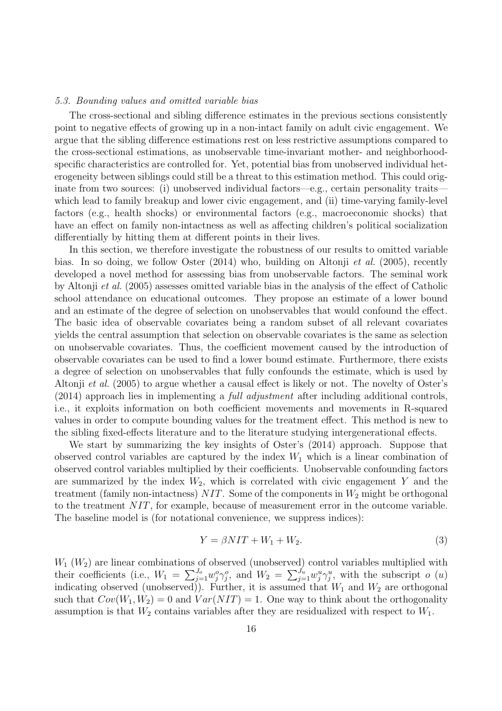#### 5.3. Bounding values and omitted variable bias

The cross-sectional and sibling difference estimates in the previous sections consistently point to negative effects of growing up in a non-intact family on adult civic engagement. We argue that the sibling difference estimations rest on less restrictive assumptions compared to the cross-sectional estimations, as unobservable time-invariant mother- and neighborhoodspecific characteristics are controlled for. Yet, potential bias from unobserved individual heterogeneity between siblings could still be a threat to this estimation method. This could originate from two sources: (i) unobserved individual factors—e.g., certain personality traits which lead to family breakup and lower civic engagement, and (ii) time-varying family-level factors (e.g., health shocks) or environmental factors (e.g., macroeconomic shocks) that have an effect on family non-intactness as well as affecting children's political socialization differentially by hitting them at different points in their lives.

In this section, we therefore investigate the robustness of our results to omitted variable bias. In so doing, we follow Oster (2014) who, building on Altonji et al. (2005), recently developed a novel method for assessing bias from unobservable factors. The seminal work by Altonji et al. (2005) assesses omitted variable bias in the analysis of the effect of Catholic school attendance on educational outcomes. They propose an estimate of a lower bound and an estimate of the degree of selection on unobservables that would confound the effect. The basic idea of observable covariates being a random subset of all relevant covariates yields the central assumption that selection on observable covariates is the same as selection on unobservable covariates. Thus, the coefficient movement caused by the introduction of observable covariates can be used to find a lower bound estimate. Furthermore, there exists a degree of selection on unobservables that fully confounds the estimate, which is used by Altonji et al. (2005) to argue whether a causal effect is likely or not. The novelty of Oster's (2014) approach lies in implementing a full adjustment after including additional controls, i.e., it exploits information on both coefficient movements and movements in R-squared values in order to compute bounding values for the treatment effect. This method is new to the sibling fixed-effects literature and to the literature studying intergenerational effects.

We start by summarizing the key insights of Oster's (2014) approach. Suppose that observed control variables are captured by the index  $W_1$  which is a linear combination of observed control variables multiplied by their coefficients. Unobservable confounding factors are summarized by the index  $W_2$ , which is correlated with civic engagement Y and the treatment (family non-intactness)  $NIT$ . Some of the components in  $W_2$  might be orthogonal to the treatment NIT, for example, because of measurement error in the outcome variable. The baseline model is (for notational convenience, we suppress indices):

$$
Y = \beta NIT + W_1 + W_2. \tag{3}
$$

 $W_1$  ( $W_2$ ) are linear combinations of observed (unobserved) control variables multiplied with their coefficients (i.e.,  $W_1 = \sum_{j=1}^{J_o} w_j^o \gamma_j^o$ , and  $W_2 = \sum_{j=1}^{J_u} w_j^u \gamma_j^u$ , with the subscript  $o(u)$ indicating observed (unobserved)). Further, it is assumed that  $W_1$  and  $W_2$  are orthogonal such that  $Cov(W_1, W_2) = 0$  and  $Var(NIT) = 1$ . One way to think about the orthogonality assumption is that  $W_2$  contains variables after they are residualized with respect to  $W_1$ .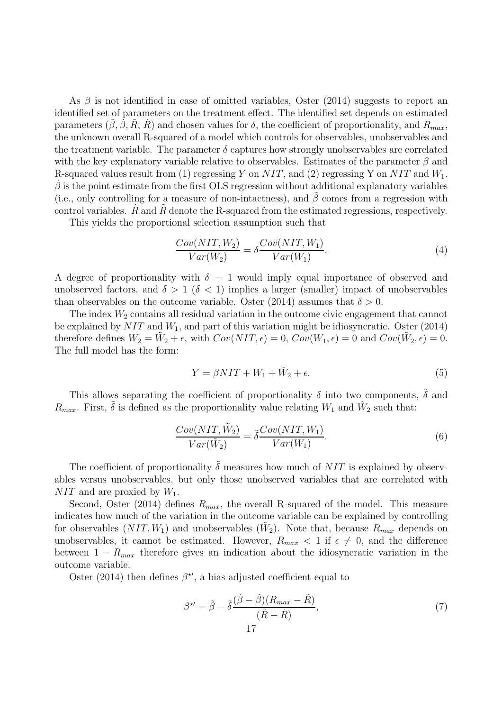As  $\beta$  is not identified in case of omitted variables, Oster (2014) suggests to report an identified set of parameters on the treatment effect. The identified set depends on estimated parameters  $(\beta, \beta, \overline{R}, R)$  and chosen values for  $\delta$ , the coefficient of proportionality, and  $R_{max}$ , the unknown overall R-squared of a model which controls for observables, unobservables and the treatment variable. The parameter  $\delta$  captures how strongly unobservables are correlated with the key explanatory variable relative to observables. Estimates of the parameter  $\beta$  and R-squared values result from (1) regressing Y on NIT, and (2) regressing Y on NIT and  $W_1$ .  $\dot{\beta}$  is the point estimate from the first OLS regression without additional explanatory variables (i.e., only controlling for a measure of non-intactness), and  $\tilde{\beta}$  comes from a regression with control variables.  $R$  and  $R$  denote the R-squared from the estimated regressions, respectively.

This yields the proportional selection assumption such that

$$
\frac{Cov(NIT, W_2)}{Var(W_2)} = \delta \frac{Cov(NIT, W_1)}{Var(W_1)}.
$$
\n(4)

A degree of proportionality with  $\delta = 1$  would imply equal importance of observed and unobserved factors, and  $\delta > 1$  ( $\delta < 1$ ) implies a larger (smaller) impact of unobservables than observables on the outcome variable. Oster (2014) assumes that  $\delta > 0$ .

The index  $W_2$  contains all residual variation in the outcome civic engagement that cannot be explained by  $NIT$  and  $W_1$ , and part of this variation might be idiosyncratic. Oster (2014) therefore defines  $W_2 = \tilde{W}_2 + \epsilon$ , with  $Cov(NIT, \epsilon) = 0$ ,  $Cov(W_1, \epsilon) = 0$  and  $Cov(\tilde{W}_2, \epsilon) = 0$ . The full model has the form:

$$
Y = \beta NIT + W_1 + \tilde{W}_2 + \epsilon. \tag{5}
$$

This allows separating the coefficient of proportionality  $\delta$  into two components,  $\tilde{\delta}$  and  $R_{max}$ . First,  $\tilde{\delta}$  is defined as the proportionality value relating  $W_1$  and  $\tilde{W}_2$  such that:

$$
\frac{Cov(NIT, \tilde{W}_2)}{Var(\tilde{W}_2)} = \tilde{\delta} \frac{Cov(NIT, W_1)}{Var(W_1)}.
$$
\n(6)

The coefficient of proportionality  $\delta$  measures how much of NIT is explained by observables versus unobservables, but only those unobserved variables that are correlated with  $NIT$  and are proxied by  $W_1$ .

Second, Oster (2014) defines  $R_{max}$ , the overall R-squared of the model. This measure indicates how much of the variation in the outcome variable can be explained by controlling for observables  $(NIT, W_1)$  and unobservables  $(\tilde{W}_2)$ . Note that, because  $R_{max}$  depends on unobservables, it cannot be estimated. However,  $R_{max} < 1$  if  $\epsilon \neq 0$ , and the difference between  $1 - R_{max}$  therefore gives an indication about the idiosyncratic variation in the outcome variable.

Oster (2014) then defines  $\beta^{\star\prime}$ , a bias-adjusted coefficient equal to

$$
\beta^{\star\prime} = \tilde{\beta} - \tilde{\delta} \frac{(\dot{\beta} - \tilde{\beta})(R_{max} - \tilde{R})}{(\tilde{R} - \dot{R})},\tag{7}
$$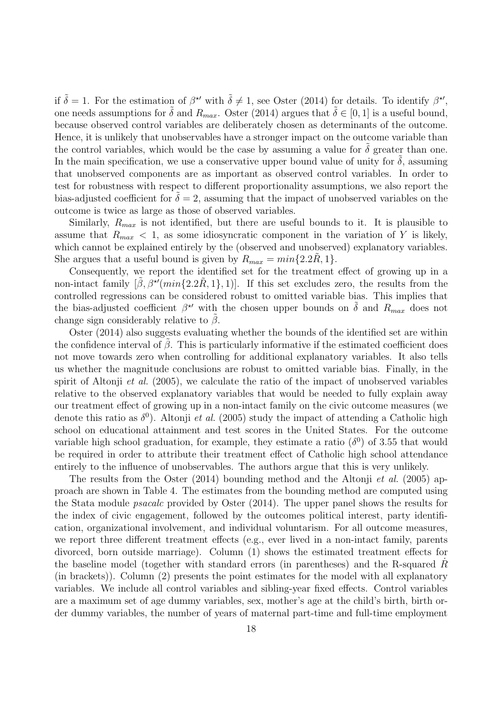if  $\tilde{\delta} = 1$ . For the estimation of  $\beta^{\star\prime}$  with  $\tilde{\delta} \neq 1$ , see Oster (2014) for details. To identify  $\beta^{\star\prime}$ , one needs assumptions for  $\tilde{\delta}$  and  $R_{max}$ . Oster (2014) argues that  $\tilde{\delta} \in [0,1]$  is a useful bound, because observed control variables are deliberately chosen as determinants of the outcome. Hence, it is unlikely that unobservables have a stronger impact on the outcome variable than the control variables, which would be the case by assuming a value for  $\tilde{\delta}$  greater than one. In the main specification, we use a conservative upper bound value of unity for  $\delta$ , assuming that unobserved components are as important as observed control variables. In order to test for robustness with respect to different proportionality assumptions, we also report the bias-adjusted coefficient for  $\delta = 2$ , assuming that the impact of unobserved variables on the outcome is twice as large as those of observed variables.

Similarly,  $R_{max}$  is not identified, but there are useful bounds to it. It is plausible to assume that  $R_{max}$  < 1, as some idiosyncratic component in the variation of Y is likely, which cannot be explained entirely by the (observed and unobserved) explanatory variables. She argues that a useful bound is given by  $R_{max} = min\{2.2R, 1\}.$ 

Consequently, we report the identified set for the treatment effect of growing up in a non-intact family  $[\tilde{\beta}, \beta^{\star'}(min\{2.2R, 1\}, 1)]$ . If this set excludes zero, the results from the controlled regressions can be considered robust to omitted variable bias. This implies that the bias-adjusted coefficient  $\beta^{\star\prime}$  with the chosen upper bounds on  $\tilde{\delta}$  and  $R_{max}$  does not change sign considerably relative to  $\beta$ .

Oster (2014) also suggests evaluating whether the bounds of the identified set are within the confidence interval of  $\beta$ . This is particularly informative if the estimated coefficient does not move towards zero when controlling for additional explanatory variables. It also tells us whether the magnitude conclusions are robust to omitted variable bias. Finally, in the spirit of Altonji *et al.* (2005), we calculate the ratio of the impact of unobserved variables relative to the observed explanatory variables that would be needed to fully explain away our treatment effect of growing up in a non-intact family on the civic outcome measures (we denote this ratio as  $\delta^0$ ). Altonji *et al.* (2005) study the impact of attending a Catholic high school on educational attainment and test scores in the United States. For the outcome variable high school graduation, for example, they estimate a ratio  $(\delta^0)$  of 3.55 that would be required in order to attribute their treatment effect of Catholic high school attendance entirely to the influence of unobservables. The authors argue that this is very unlikely.

The results from the Oster (2014) bounding method and the Altonji et al. (2005) approach are shown in Table 4. The estimates from the bounding method are computed using the Stata module psacalc provided by Oster (2014). The upper panel shows the results for the index of civic engagement, followed by the outcomes political interest, party identification, organizational involvement, and individual voluntarism. For all outcome measures, we report three different treatment effects (e.g., ever lived in a non-intact family, parents divorced, born outside marriage). Column (1) shows the estimated treatment effects for the baseline model (together with standard errors (in parentheses) and the R-squared  $R$ (in brackets)). Column (2) presents the point estimates for the model with all explanatory variables. We include all control variables and sibling-year fixed effects. Control variables are a maximum set of age dummy variables, sex, mother's age at the child's birth, birth order dummy variables, the number of years of maternal part-time and full-time employment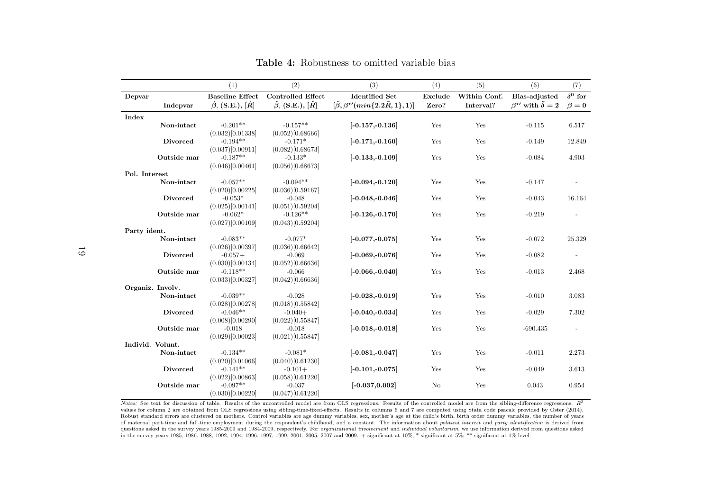|               |                  | (1)                                 | (2)                                     | (3)                                                               | (4)            | (5)          | (6)                                        | (7)                      |
|---------------|------------------|-------------------------------------|-----------------------------------------|-------------------------------------------------------------------|----------------|--------------|--------------------------------------------|--------------------------|
| Depvar        |                  | <b>Baseline Effect</b>              | <b>Controlled Effect</b>                | <b>Identified Set</b>                                             | Exclude        | Within Conf. | Bias-adjusted                              | $\delta^0$ for           |
|               | Indepvar         | $\dot{\beta}$ , (S.E.), $\dot{[R]}$ | $\tilde{\beta}$ , (S.E.), $[\tilde{R}]$ | $[\tilde{\beta}, \beta^{\star\prime}(min\{2.2\tilde{R}, 1\}, 1)]$ | Zero?          | Interval?    | $\beta^{\star}{}'$ with $\tilde{\delta}=2$ | $\beta = 0$              |
| Index         |                  |                                     |                                         |                                                                   |                |              |                                            |                          |
|               | Non-intact       | $-0.201**$                          | $-0.157**$                              | $[-0.157,-0.136]$                                                 | Yes            | Yes          | $-0.115$                                   | 6.517                    |
|               |                  | (0.032)[0.01338]                    | (0.052)[0.68666]                        |                                                                   |                |              |                                            |                          |
|               | <b>Divorced</b>  | $-0.194**$                          | $-0.171*$                               | $[-0.171, -0.160]$                                                | Yes            | Yes          | $-0.149$                                   | 12.849                   |
|               |                  | (0.037)[0.00911]                    | (0.082)[0.68673]                        |                                                                   |                |              |                                            |                          |
|               | Outside mar      | $-0.187**$                          | $-0.133*$                               | $[-0.133,-0.109]$                                                 | Yes            | Yes          | $-0.084$                                   | 4.903                    |
|               |                  | (0.046)[0.00461]                    | (0.056)[0.68673]                        |                                                                   |                |              |                                            |                          |
| Pol. Interest |                  |                                     |                                         |                                                                   |                |              |                                            |                          |
|               | Non-intact       | $-0.057**$                          | $-0.094**$                              | $[-0.094, -0.120]$                                                | Yes            | Yes          | $-0.147$                                   |                          |
|               |                  | (0.020)[0.00225]                    | (0.036)[0.59167]                        |                                                                   |                |              |                                            |                          |
|               | <b>Divorced</b>  | $-0.053*$                           | $-0.048$                                | $[-0.048,-0.046]$                                                 | Yes            | Yes          | $-0.043$                                   | 16.164                   |
|               |                  | (0.025)[0.00141]                    | (0.051)[0.59204]                        |                                                                   |                |              |                                            |                          |
|               | Outside mar      | $-0.062*$                           | $-0.126**$                              | $[-0.126, -0.170]$                                                | Yes            | Yes          | $-0.219$                                   |                          |
|               |                  | (0.027)[0.00109]                    | (0.043)[0.59204]                        |                                                                   |                |              |                                            |                          |
| Party ident.  |                  |                                     |                                         |                                                                   |                |              |                                            |                          |
|               | Non-intact       | $-0.083**$                          | $-0.077*$                               | $[-0.077,-0.075]$                                                 | Yes            | Yes          | $-0.072$                                   | 25.329                   |
|               |                  | (0.026)[0.00397]                    | (0.036)[0.66642]                        |                                                                   |                |              |                                            |                          |
|               | <b>Divorced</b>  | $-0.057+$                           | $-0.069$                                | $[-0.069,-0.076]$                                                 | Yes            | Yes          | $-0.082$                                   | $\overline{\phantom{a}}$ |
|               |                  | (0.030)[0.00134]                    | (0.052)[0.66636]                        |                                                                   |                |              |                                            |                          |
|               | Outside mar      | $-0.118**$                          | $-0.066$                                | $[-0.066,-0.040]$                                                 | Yes            | Yes          | $-0.013$                                   | 2.468                    |
|               |                  | (0.033)[0.00327]                    | (0.042)[0.66636]                        |                                                                   |                |              |                                            |                          |
|               | Organiz. Involv. |                                     |                                         |                                                                   |                |              |                                            |                          |
|               | Non-intact       | $-0.039**$                          | $-0.028$                                | $[-0.028,-0.019]$                                                 | Yes            | Yes          | $-0.010$                                   | 3.083                    |
|               |                  | (0.028)[0.00278]                    | (0.018)[0.55842]                        |                                                                   |                |              |                                            |                          |
|               | <b>Divorced</b>  | $-0.046**$                          | $-0.040+$                               | $[-0.040,-0.034]$                                                 | Yes            | Yes          | $-0.029$                                   | 7.302                    |
|               |                  | (0.008)[0.00290]                    | (0.022)[0.55847]                        |                                                                   |                |              |                                            |                          |
|               | Outside mar      | $-0.018$                            | $-0.018$                                | $[-0.018,-0.018]$                                                 | Yes            | Yes          | $-690.435$                                 | $\overline{\phantom{a}}$ |
|               |                  | (0.029)[0.00023]                    | (0.021)[0.55847]                        |                                                                   |                |              |                                            |                          |
|               | Individ. Volunt. |                                     |                                         |                                                                   |                |              |                                            |                          |
|               | Non-intact       | $-0.134**$                          | $-0.081*$                               | $[-0.081, -0.047]$                                                | Yes            | Yes          | $-0.011$                                   | 2.273                    |
|               |                  | (0.020)[0.01066]                    | (0.040)[0.61230]                        |                                                                   |                |              |                                            |                          |
|               | Divorced         | $-0.141**$                          | $-0.101+$                               | $[-0.101,-0.075]$                                                 | Yes            | Yes          | $-0.049$                                   | 3.613                    |
|               |                  | (0.022)[0.00863]                    | (0.058)[0.61220]                        |                                                                   |                |              |                                            |                          |
|               | Outside mar      | $-0.097**$                          | $-0.037$                                | $[-0.037, 0.002]$                                                 | N <sub>o</sub> | Yes          | 0.043                                      | 0.954                    |
|               |                  | (0.030)[0.00220]                    | (0.047)[0.61220]                        |                                                                   |                |              |                                            |                          |

Table 4: Robustness to omitted variable bias

*Notes:* See text for discussion of table. Results of the uncontrolled model are from OLS regressions. Results of the controlled model are from the sibling-difference regressions.  $R^2$ values for column <sup>2</sup> are obtained from OLS regressions using sibling-time-fixed-effects. Results in columns <sup>6</sup> and <sup>7</sup> are computed using Stata code psacalc provided by Oster (2014). Robust standard errors are clustered on mothers. Control variables are age dummy variables, sex, mother's age at the child's birth, birth order dummy variables, the number of years of maternal part-time and full-time employment during the respondent's childhood, and a constant. The information about *political interest* and *party identification* is derived from questions asked in the survey years 1985-2009 and 1984-2009, respectively. For *organizational involvement* and *individual voluntarism*, we use information derived from questions asked in the survey years 1985, 1986, 1988, 1992, 1994, 1996, 1997, 1999, 2001, 2005, <sup>2007</sup> and 2009. <sup>+</sup> significant at 10%; \* significant at 5%; \*\* significant at 1% level.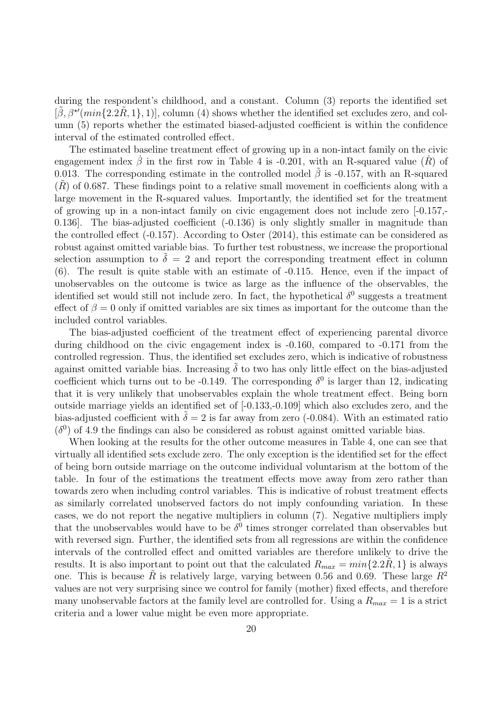during the respondent's childhood, and a constant. Column (3) reports the identified set  $[\tilde{\beta}, \beta^{\star\prime}(min\{2.2\tilde{R}, 1\}, 1)],$  column (4) shows whether the identified set excludes zero, and column (5) reports whether the estimated biased-adjusted coefficient is within the confidence interval of the estimated controlled effect.

The estimated baseline treatment effect of growing up in a non-intact family on the civic engagement index  $\dot{\beta}$  in the first row in Table 4 is -0.201, with an R-squared value  $(\dot{R})$  of 0.013. The corresponding estimate in the controlled model  $\beta$  is -0.157, with an R-squared  $(R)$  of 0.687. These findings point to a relative small movement in coefficients along with a large movement in the R-squared values. Importantly, the identified set for the treatment of growing up in a non-intact family on civic engagement does not include zero [-0.157,- 0.136]. The bias-adjusted coefficient (-0.136) is only slightly smaller in magnitude than the controlled effect (-0.157). According to Oster (2014), this estimate can be considered as robust against omitted variable bias. To further test robustness, we increase the proportional selection assumption to  $\delta = 2$  and report the corresponding treatment effect in column (6). The result is quite stable with an estimate of -0.115. Hence, even if the impact of unobservables on the outcome is twice as large as the influence of the observables, the identified set would still not include zero. In fact, the hypothetical  $\delta^0$  suggests a treatment effect of  $\beta = 0$  only if omitted variables are six times as important for the outcome than the included control variables.

The bias-adjusted coefficient of the treatment effect of experiencing parental divorce during childhood on the civic engagement index is -0.160, compared to -0.171 from the controlled regression. Thus, the identified set excludes zero, which is indicative of robustness against omitted variable bias. Increasing  $\delta$  to two has only little effect on the bias-adjusted coefficient which turns out to be -0.149. The corresponding  $\delta^0$  is larger than 12, indicating that it is very unlikely that unobservables explain the whole treatment effect. Being born outside marriage yields an identified set of [-0.133,-0.109] which also excludes zero, and the bias-adjusted coefficient with  $\delta = 2$  is far away from zero (-0.084). With an estimated ratio  $(\delta^0)$  of 4.9 the findings can also be considered as robust against omitted variable bias.

When looking at the results for the other outcome measures in Table 4, one can see that virtually all identified sets exclude zero. The only exception is the identified set for the effect of being born outside marriage on the outcome individual voluntarism at the bottom of the table. In four of the estimations the treatment effects move away from zero rather than towards zero when including control variables. This is indicative of robust treatment effects as similarly correlated unobserved factors do not imply confounding variation. In these cases, we do not report the negative multipliers in column (7). Negative multipliers imply that the unobservables would have to be  $\delta^0$  times stronger correlated than observables but with reversed sign. Further, the identified sets from all regressions are within the confidence intervals of the controlled effect and omitted variables are therefore unlikely to drive the results. It is also important to point out that the calculated  $R_{max} = min\{2.2R, 1\}$  is always one. This is because  $\hat{R}$  is relatively large, varying between 0.56 and 0.69. These large  $R^2$ values are not very surprising since we control for family (mother) fixed effects, and therefore many unobservable factors at the family level are controlled for. Using a  $R_{max} = 1$  is a strict criteria and a lower value might be even more appropriate.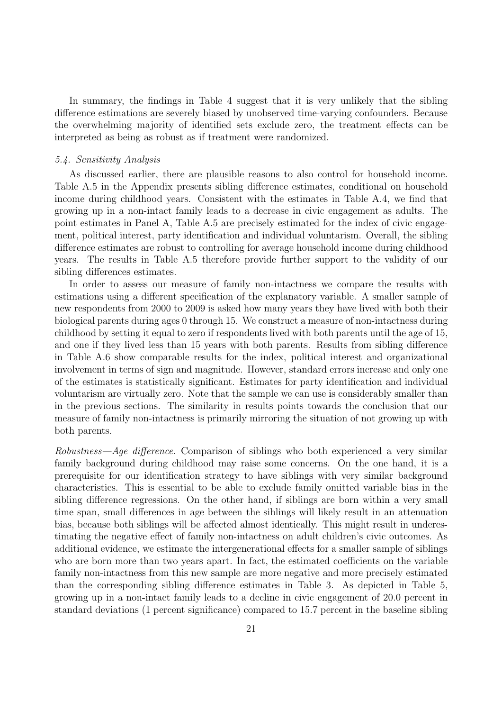In summary, the findings in Table 4 suggest that it is very unlikely that the sibling difference estimations are severely biased by unobserved time-varying confounders. Because the overwhelming majority of identified sets exclude zero, the treatment effects can be interpreted as being as robust as if treatment were randomized.

#### 5.4. Sensitivity Analysis

As discussed earlier, there are plausible reasons to also control for household income. Table A.5 in the Appendix presents sibling difference estimates, conditional on household income during childhood years. Consistent with the estimates in Table A.4, we find that growing up in a non-intact family leads to a decrease in civic engagement as adults. The point estimates in Panel A, Table A.5 are precisely estimated for the index of civic engagement, political interest, party identification and individual voluntarism. Overall, the sibling difference estimates are robust to controlling for average household income during childhood years. The results in Table A.5 therefore provide further support to the validity of our sibling differences estimates.

In order to assess our measure of family non-intactness we compare the results with estimations using a different specification of the explanatory variable. A smaller sample of new respondents from 2000 to 2009 is asked how many years they have lived with both their biological parents during ages 0 through 15. We construct a measure of non-intactness during childhood by setting it equal to zero if respondents lived with both parents until the age of 15, and one if they lived less than 15 years with both parents. Results from sibling difference in Table A.6 show comparable results for the index, political interest and organizational involvement in terms of sign and magnitude. However, standard errors increase and only one of the estimates is statistically significant. Estimates for party identification and individual voluntarism are virtually zero. Note that the sample we can use is considerably smaller than in the previous sections. The similarity in results points towards the conclusion that our measure of family non-intactness is primarily mirroring the situation of not growing up with both parents.

Robustness—Age difference. Comparison of siblings who both experienced a very similar family background during childhood may raise some concerns. On the one hand, it is a prerequisite for our identification strategy to have siblings with very similar background characteristics. This is essential to be able to exclude family omitted variable bias in the sibling difference regressions. On the other hand, if siblings are born within a very small time span, small differences in age between the siblings will likely result in an attenuation bias, because both siblings will be affected almost identically. This might result in underestimating the negative effect of family non-intactness on adult children's civic outcomes. As additional evidence, we estimate the intergenerational effects for a smaller sample of siblings who are born more than two years apart. In fact, the estimated coefficients on the variable family non-intactness from this new sample are more negative and more precisely estimated than the corresponding sibling difference estimates in Table 3. As depicted in Table 5, growing up in a non-intact family leads to a decline in civic engagement of 20.0 percent in standard deviations (1 percent significance) compared to 15.7 percent in the baseline sibling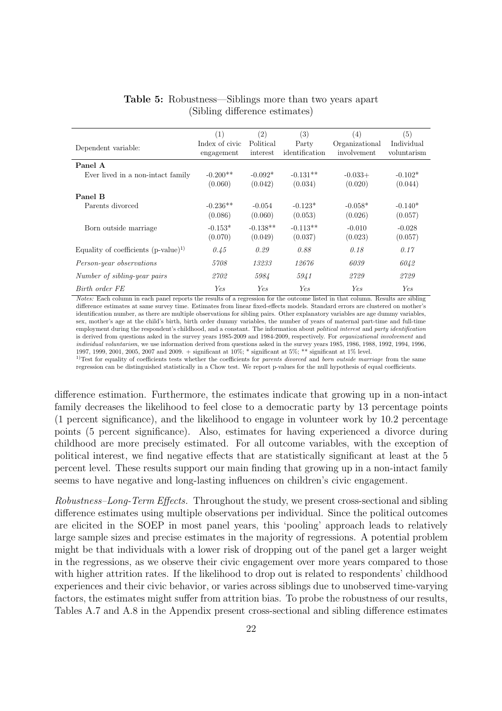|                                          | (1)                          | (2)                   | (3)                     | $\left( 4\right)$             | (5)                       |
|------------------------------------------|------------------------------|-----------------------|-------------------------|-------------------------------|---------------------------|
| Dependent variable:                      | Index of civic<br>engagement | Political<br>interest | Party<br>identification | Organizational<br>involvement | Individual<br>voluntarism |
| Panel A                                  |                              |                       |                         |                               |                           |
| Ever lived in a non-intact family        | $-0.200**$                   | $-0.092*$             | $-0.131**$              | $-0.033+$                     | $-0.102*$                 |
|                                          | (0.060)                      | (0.042)               | (0.034)                 | (0.020)                       | (0.044)                   |
| Panel B                                  |                              |                       |                         |                               |                           |
| Parents divorced                         | $-0.236**$                   | $-0.054$              | $-0.123*$               | $-0.058*$                     | $-0.140*$                 |
|                                          | (0.086)                      | (0.060)               | (0.053)                 | (0.026)                       | (0.057)                   |
| Born outside marriage                    | $-0.153*$                    | $-0.138**$            | $-0.113**$              | $-0.010$                      | $-0.028$                  |
|                                          | (0.070)                      | (0.049)               | (0.037)                 | (0.023)                       | (0.057)                   |
| Equality of coefficients $(p-value)^{1}$ | 0.45                         | 0.29                  | 0.88                    | 0.18                          | 0.17                      |
| Person-year observations                 | 5708                         | 13233                 | 12676                   | 6039                          | 6042                      |
| Number of sibling-year pairs             | 2702                         | 5984                  | 5941                    | 2729                          | 2729                      |
| Birth order FE                           | Yes                          | Yes                   | Yes                     | Yes                           | Yes                       |

### Table 5: Robustness—Siblings more than two years apart (Sibling difference estimates)

Notes: Each column in each panel reports the results of a regression for the outcome listed in that column. Results are sibling difference estimates at same survey time. Estimates from linear fixed-effects models. Standard errors are clustered on mother's identification number, as there are multiple observations for sibling pairs. Other explanatory variables are age dummy variables, sex, mother's age at the child's birth, birth order dummy variables, the number of years of maternal part-time and full-time employment during the respondent's childhood, and a constant. The information about political interest and party identification is derived from questions asked in the survey years 1985-2009 and 1984-2009, respectively. For organizational involvement and individual voluntarism, we use information derived from questions asked in the survey years 1985, 1986, 1988, 1992, 1994, 1996. 1997, 1999, 2001, 2005, 2007 and 2009. + significant at 10%; \* significant at 5%; \*\* significant at 1% level.

<sup>1)</sup>Test for equality of coefficients tests whether the coefficients for *parents divorced* and *born outside marriage* from the same regression can be distinguished statistically in a Chow test. We report p-values for the null hypothesis of equal coefficients.

difference estimation. Furthermore, the estimates indicate that growing up in a non-intact family decreases the likelihood to feel close to a democratic party by 13 percentage points (1 percent significance), and the likelihood to engage in volunteer work by 10.2 percentage points (5 percent significance). Also, estimates for having experienced a divorce during childhood are more precisely estimated. For all outcome variables, with the exception of political interest, we find negative effects that are statistically significant at least at the 5 percent level. These results support our main finding that growing up in a non-intact family seems to have negative and long-lasting influences on children's civic engagement.

Robustness–Long-Term Effects. Throughout the study, we present cross-sectional and sibling difference estimates using multiple observations per individual. Since the political outcomes are elicited in the SOEP in most panel years, this 'pooling' approach leads to relatively large sample sizes and precise estimates in the majority of regressions. A potential problem might be that individuals with a lower risk of dropping out of the panel get a larger weight in the regressions, as we observe their civic engagement over more years compared to those with higher attrition rates. If the likelihood to drop out is related to respondents' childhood experiences and their civic behavior, or varies across siblings due to unobserved time-varying factors, the estimates might suffer from attrition bias. To probe the robustness of our results, Tables A.7 and A.8 in the Appendix present cross-sectional and sibling difference estimates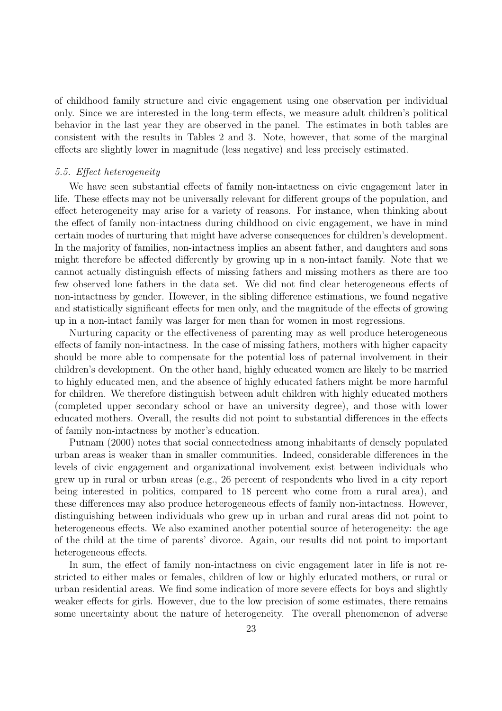of childhood family structure and civic engagement using one observation per individual only. Since we are interested in the long-term effects, we measure adult children's political behavior in the last year they are observed in the panel. The estimates in both tables are consistent with the results in Tables 2 and 3. Note, however, that some of the marginal effects are slightly lower in magnitude (less negative) and less precisely estimated.

#### 5.5. Effect heterogeneity

We have seen substantial effects of family non-intactness on civic engagement later in life. These effects may not be universally relevant for different groups of the population, and effect heterogeneity may arise for a variety of reasons. For instance, when thinking about the effect of family non-intactness during childhood on civic engagement, we have in mind certain modes of nurturing that might have adverse consequences for children's development. In the majority of families, non-intactness implies an absent father, and daughters and sons might therefore be affected differently by growing up in a non-intact family. Note that we cannot actually distinguish effects of missing fathers and missing mothers as there are too few observed lone fathers in the data set. We did not find clear heterogeneous effects of non-intactness by gender. However, in the sibling difference estimations, we found negative and statistically significant effects for men only, and the magnitude of the effects of growing up in a non-intact family was larger for men than for women in most regressions.

Nurturing capacity or the effectiveness of parenting may as well produce heterogeneous effects of family non-intactness. In the case of missing fathers, mothers with higher capacity should be more able to compensate for the potential loss of paternal involvement in their children's development. On the other hand, highly educated women are likely to be married to highly educated men, and the absence of highly educated fathers might be more harmful for children. We therefore distinguish between adult children with highly educated mothers (completed upper secondary school or have an university degree), and those with lower educated mothers. Overall, the results did not point to substantial differences in the effects of family non-intactness by mother's education.

Putnam (2000) notes that social connectedness among inhabitants of densely populated urban areas is weaker than in smaller communities. Indeed, considerable differences in the levels of civic engagement and organizational involvement exist between individuals who grew up in rural or urban areas (e.g., 26 percent of respondents who lived in a city report being interested in politics, compared to 18 percent who come from a rural area), and these differences may also produce heterogeneous effects of family non-intactness. However, distinguishing between individuals who grew up in urban and rural areas did not point to heterogeneous effects. We also examined another potential source of heterogeneity: the age of the child at the time of parents' divorce. Again, our results did not point to important heterogeneous effects.

In sum, the effect of family non-intactness on civic engagement later in life is not restricted to either males or females, children of low or highly educated mothers, or rural or urban residential areas. We find some indication of more severe effects for boys and slightly weaker effects for girls. However, due to the low precision of some estimates, there remains some uncertainty about the nature of heterogeneity. The overall phenomenon of adverse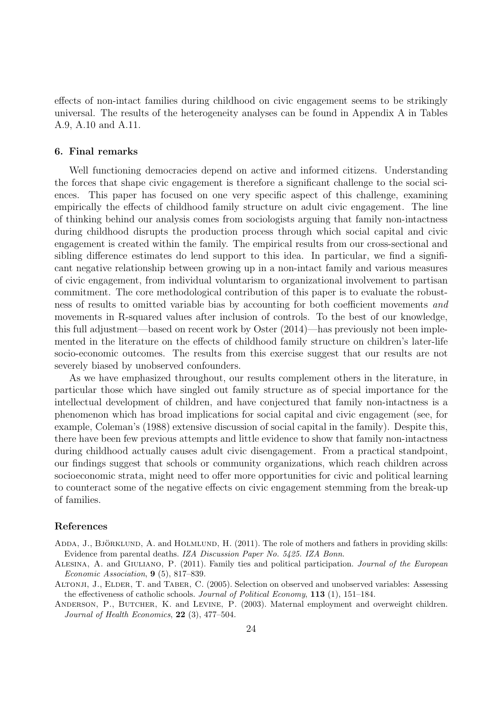effects of non-intact families during childhood on civic engagement seems to be strikingly universal. The results of the heterogeneity analyses can be found in Appendix A in Tables A.9, A.10 and A.11.

#### 6. Final remarks

Well functioning democracies depend on active and informed citizens. Understanding the forces that shape civic engagement is therefore a significant challenge to the social sciences. This paper has focused on one very specific aspect of this challenge, examining empirically the effects of childhood family structure on adult civic engagement. The line of thinking behind our analysis comes from sociologists arguing that family non-intactness during childhood disrupts the production process through which social capital and civic engagement is created within the family. The empirical results from our cross-sectional and sibling difference estimates do lend support to this idea. In particular, we find a significant negative relationship between growing up in a non-intact family and various measures of civic engagement, from individual voluntarism to organizational involvement to partisan commitment. The core methodological contribution of this paper is to evaluate the robustness of results to omitted variable bias by accounting for both coefficient movements and movements in R-squared values after inclusion of controls. To the best of our knowledge, this full adjustment—based on recent work by Oster (2014)—has previously not been implemented in the literature on the effects of childhood family structure on children's later-life socio-economic outcomes. The results from this exercise suggest that our results are not severely biased by unobserved confounders.

As we have emphasized throughout, our results complement others in the literature, in particular those which have singled out family structure as of special importance for the intellectual development of children, and have conjectured that family non-intactness is a phenomenon which has broad implications for social capital and civic engagement (see, for example, Coleman's (1988) extensive discussion of social capital in the family). Despite this, there have been few previous attempts and little evidence to show that family non-intactness during childhood actually causes adult civic disengagement. From a practical standpoint, our findings suggest that schools or community organizations, which reach children across socioeconomic strata, might need to offer more opportunities for civic and political learning to counteract some of the negative effects on civic engagement stemming from the break-up of families.

#### References

- ADDA, J., BJÖRKLUND, A. and HOLMLUND, H. (2011). The role of mothers and fathers in providing skills: Evidence from parental deaths. IZA Discussion Paper No. 5425. IZA Bonn.
- ALESINA, A. and GIULIANO, P. (2011). Family ties and political participation. Journal of the European Economic Association, 9 (5), 817–839.
- Altonji, J., Elder, T. and Taber, C. (2005). Selection on observed and unobserved variables: Assessing the effectiveness of catholic schools. Journal of Political Economy, 113 (1), 151–184.
- ANDERSON, P., BUTCHER, K. and LEVINE, P. (2003). Maternal employment and overweight children. Journal of Health Economics, 22 (3), 477–504.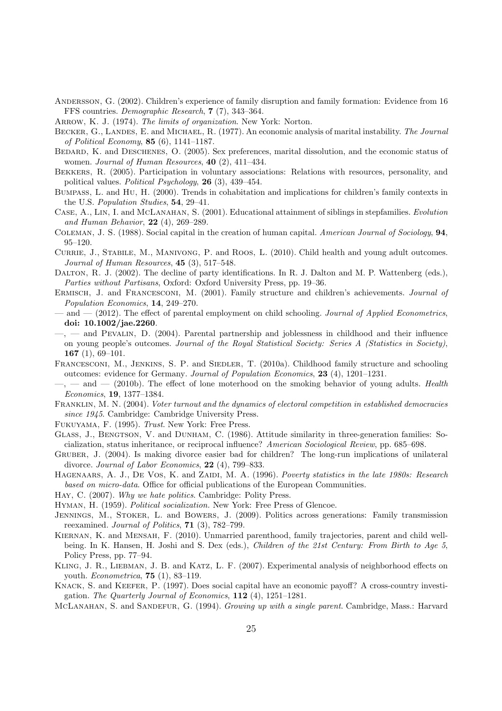- Andersson, G. (2002). Children's experience of family disruption and family formation: Evidence from 16 FFS countries. Demographic Research, 7 (7), 343–364.
- ARROW, K. J. (1974). The limits of organization. New York: Norton.
- BECKER, G., LANDES, E. and MICHAEL, R. (1977). An economic analysis of marital instability. The Journal of Political Economy, 85 (6), 1141–1187.
- Bedard, K. and Deschenes, O. (2005). Sex preferences, marital dissolution, and the economic status of women. Journal of Human Resources, 40 (2), 411-434.
- Bekkers, R. (2005). Participation in voluntary associations: Relations with resources, personality, and political values. Political Psychology, 26 (3), 439–454.
- Bumpass, L. and Hu, H. (2000). Trends in cohabitation and implications for children's family contexts in the U.S. Population Studies, 54, 29–41.
- CASE, A., LIN, I. and MCLANAHAN, S. (2001). Educational attainment of siblings in stepfamilies. Evolution and Human Behavior,  $22(4)$ ,  $269-289$ .
- COLEMAN, J. S. (1988). Social capital in the creation of human capital. American Journal of Sociology, **94**, 95–120.
- Currie, J., Stabile, M., Manivong, P. and Roos, L. (2010). Child health and young adult outcomes. Journal of Human Resources,  $45$  (3),  $517-548$ .
- Dalton, R. J. (2002). The decline of party identifications. In R. J. Dalton and M. P. Wattenberg (eds.), Parties without Partisans, Oxford: Oxford University Press, pp. 19–36.
- ERMISCH, J. and FRANCESCONI, M. (2001). Family structure and children's achievements. Journal of Population Economics, 14, 249–270.
- and (2012). The effect of parental employment on child schooling. Journal of Applied Econometrics, doi: 10.1002/jae.2260.
- $\sim$ ,  $\sim$  and PEVALIN, D. (2004). Parental partnership and joblessness in childhood and their influence on young people's outcomes. Journal of the Royal Statistical Society: Series A (Statistics in Society), 167 $(1), 69-101.$
- FRANCESCONI, M., JENKINS, S. P. and SIEDLER, T. (2010a). Childhood family structure and schooling outcomes: evidence for Germany. Journal of Population Economics, 23 (4), 1201–1231.
- $\sim$ ,  $\sim$  and  $\sim$  (2010b). The effect of lone moterhood on the smoking behavior of young adults. Health Economics, 19, 1377–1384.
- Franklin, M. N. (2004). Voter turnout and the dynamics of electoral competition in established democracies since 1945. Cambridge: Cambridge University Press.
- Fukuyama, F. (1995). Trust. New York: Free Press.
- Glass, J., Bengtson, V. and Dunham, C. (1986). Attitude similarity in three-generation families: Socialization, status inheritance, or reciprocal influence? American Sociological Review, pp. 685–698.
- Gruber, J. (2004). Is making divorce easier bad for children? The long-run implications of unilateral divorce. Journal of Labor Economics, 22 (4), 799–833.
- HAGENAARS, A. J., DE VOS, K. and ZAIDI, M. A. (1996). Poverty statistics in the late 1980s: Research based on micro-data. Office for official publications of the European Communities.
- HAY, C. (2007). Why we hate politics. Cambridge: Polity Press.
- Hyman, H. (1959). Political socialization. New York: Free Press of Glencoe.
- Jennings, M., Stoker, L. and Bowers, J. (2009). Politics across generations: Family transmission reexamined. Journal of Politics, 71 (3), 782–799.
- Kiernan, K. and Mensah, F. (2010). Unmarried parenthood, family trajectories, parent and child wellbeing. In K. Hansen, H. Joshi and S. Dex (eds.), Children of the 21st Century: From Birth to Age 5, Policy Press, pp. 77–94.
- KLING, J. R., LIEBMAN, J. B. and KATZ, L. F. (2007). Experimental analysis of neighborhood effects on youth. Econometrica, 75 (1), 83–119.
- Knack, S. and Keefer, P. (1997). Does social capital have an economic payoff? A cross-country investigation. The Quarterly Journal of Economics,  $112$  (4),  $1251-1281$ .
- MCLANAHAN, S. and SANDEFUR, G. (1994). Growing up with a single parent. Cambridge, Mass.: Harvard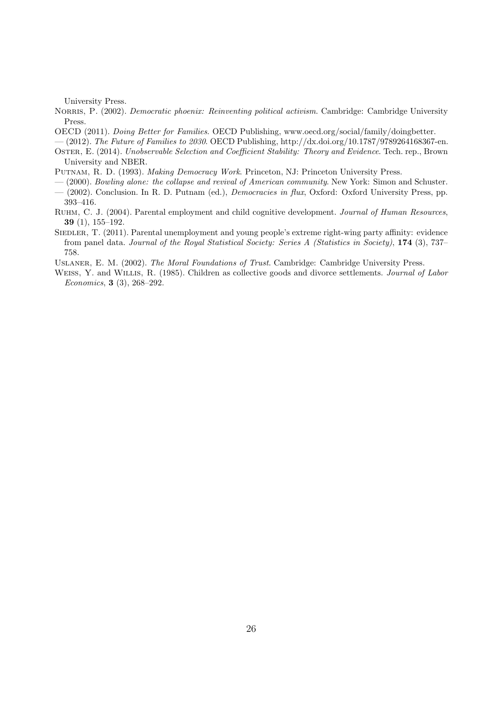University Press.

- NORRIS, P. (2002). *Democratic phoenix: Reinventing political activism*. Cambridge: Cambridge University Press.
- OECD (2011). Doing Better for Families. OECD Publishing, www.oecd.org/social/family/doingbetter.
- $-(2012)$ . The Future of Families to 2030. OECD Publishing, http://dx.doi.org/10.1787/9789264168367-en.
- OSTER, E. (2014). Unobservable Selection and Coefficient Stability: Theory and Evidence. Tech. rep., Brown University and NBER.
- Putnam, R. D. (1993). Making Democracy Work. Princeton, NJ: Princeton University Press.
- (2000). Bowling alone: the collapse and revival of American community. New York: Simon and Schuster. — (2002). Conclusion. In R. D. Putnam (ed.), Democracies in flux, Oxford: Oxford University Press, pp.
- 393–416. Ruhm, C. J. (2004). Parental employment and child cognitive development. Journal of Human Resources, 39 (1), 155–192.
- SIEDLER, T. (2011). Parental unemployment and young people's extreme right-wing party affinity: evidence from panel data. Journal of the Royal Statistical Society: Series A (Statistics in Society), 174 (3), 737– 758.

USLANER, E. M. (2002). The Moral Foundations of Trust. Cambridge: Cambridge University Press.

WEISS, Y. and WILLIS, R. (1985). Children as collective goods and divorce settlements. *Journal of Labor* Economics, 3 (3), 268–292.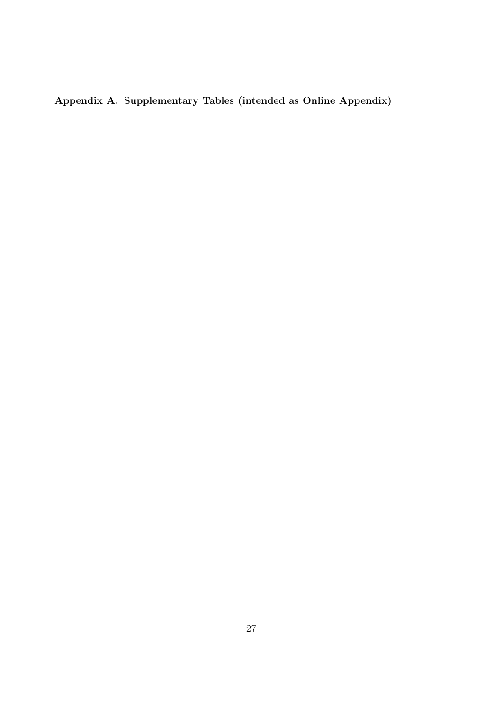Appendix A. Supplementary Tables (intended as Online Appendix)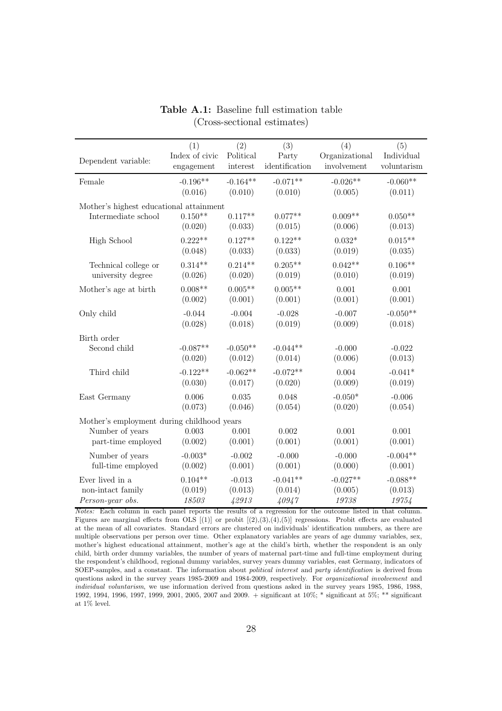| Dependent variable:                                                                 | (1)              | (2)              | (3)              | (4)              | (5)              |
|-------------------------------------------------------------------------------------|------------------|------------------|------------------|------------------|------------------|
|                                                                                     | Index of civic   | Political        | Party            | Organizational   | Individual       |
|                                                                                     | engagement       | interest         | identification   | involvement      | voluntarism      |
| Female                                                                              | $-0.196**$       | $-0.164**$       | $-0.071**$       | $-0.026**$       | $-0.060**$       |
|                                                                                     | (0.016)          | (0.010)          | (0.010)          | (0.005)          | (0.011)          |
| Mother's highest educational attainment                                             | $0.150**$        | $0.117**$        | $0.077**$        | $0.009**$        | $0.050**$        |
| Intermediate school                                                                 | (0.020)          | (0.033)          | (0.015)          | (0.006)          | (0.013)          |
| High School                                                                         | $0.222**$        | $0.127**$        | $0.122**$        | $0.032*$         | $0.015**$        |
|                                                                                     | (0.048)          | (0.033)          | (0.033)          | (0.019)          | (0.035)          |
| Technical college or                                                                | $0.314**$        | $0.214**$        | $0.205**$        | $0.042**$        | $0.106**$        |
| university degree                                                                   | (0.026)          | (0.020)          | (0.019)          | (0.010)          | (0.019)          |
| Mother's age at birth                                                               | $0.008**$        | $0.005**$        | $0.005**$        | 0.001            | 0.001            |
|                                                                                     | (0.002)          | (0.001)          | (0.001)          | (0.001)          | (0.001)          |
| Only child                                                                          | $-0.044$         | $-0.004$         | $-0.028$         | $-0.007$         | $-0.050**$       |
|                                                                                     | (0.028)          | (0.018)          | (0.019)          | (0.009)          | (0.018)          |
| Birth order                                                                         | $-0.087**$       | $-0.050**$       | $-0.044**$       | $-0.000$         | $-0.022$         |
| Second child                                                                        | (0.020)          | (0.012)          | (0.014)          | (0.006)          | (0.013)          |
| Third child                                                                         | $-0.122**$       | $-0.062**$       | $-0.072**$       | 0.004            | $-0.041*$        |
|                                                                                     | (0.030)          | (0.017)          | (0.020)          | (0.009)          | (0.019)          |
| East Germany                                                                        | 0.006            | 0.035            | 0.048            | $-0.050*$        | $-0.006$         |
|                                                                                     | (0.073)          | (0.046)          | (0.054)          | (0.020)          | (0.054)          |
| Mother's employment during childhood years<br>Number of years<br>part-time employed | 0.003<br>(0.002) | 0.001<br>(0.001) | 0.002<br>(0.001) | 0.001<br>(0.001) | 0.001<br>(0.001) |
| Number of years                                                                     | $-0.003*$        | $-0.002$         | $-0.000$         | $-0.000$         | $-0.004**$       |
| full-time employed                                                                  | (0.002)          | (0.001)          | (0.001)          | (0.000)          | (0.001)          |
| Ever lived in a                                                                     | $0.104**$        | $-0.013$         | $-0.041**$       | $-0.027**$       | $-0.088**$       |
| non-intact family                                                                   | (0.019)          | (0.013)          | (0.014)          | (0.005)          | (0.013)          |
| Person-year obs.                                                                    | 18503            | 42913            | 40947            | 19738            | 19754            |

Table A.1: Baseline full estimation table (Cross-sectional estimates)

Notes: Each column in each panel reports the results of a regression for the outcome listed in that column. Figures are marginal effects from OLS  $[(1)]$  or probit  $[(2),(3),(4),(5)]$  regressions. Probit effects are evaluated at the mean of all covariates. Standard errors are clustered on individuals' identification numbers, as there are multiple observations per person over time. Other explanatory variables are years of age dummy variables, sex, mother's highest educational attainment, mother's age at the child's birth, whether the respondent is an only child, birth order dummy variables, the number of years of maternal part-time and full-time employment during the respondent's childhood, regional dummy variables, survey years dummy variables, east Germany, indicators of SOEP-samples, and a constant. The information about political interest and party identification is derived from questions asked in the survey years 1985-2009 and 1984-2009, respectively. For *organizational involvement* and individual voluntarism, we use information derived from questions asked in the survey years 1985, 1986, 1988, 1992, 1994, 1996, 1997, 1999, 2001, 2005, 2007 and 2009. + significant at 10%; \* significant at 5%; \*\* significant at 1% level.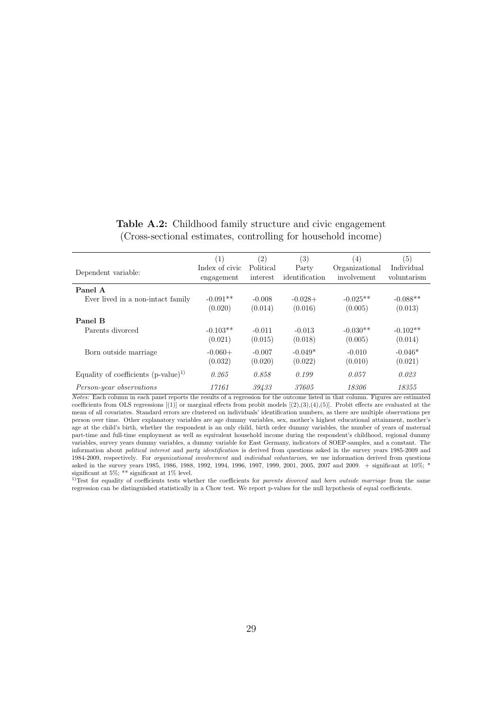| Table A.2: Childhood family structure and civic engagement    |  |
|---------------------------------------------------------------|--|
| (Cross-sectional estimates, controlling for household income) |  |

| Dependent variable:                      | (1)<br>Index of civic<br>engagement | (2)<br>Political<br>interest | (3)<br>Party<br>identification | (4)<br>Organizational<br>involvement | (5)<br>Individual<br>voluntarism |
|------------------------------------------|-------------------------------------|------------------------------|--------------------------------|--------------------------------------|----------------------------------|
| Panel A                                  |                                     |                              |                                |                                      |                                  |
| Ever lived in a non-intact family        | $-0.091**$                          | $-0.008$                     | $-0.028+$                      | $-0.025**$                           | $-0.088**$                       |
|                                          | (0.020)                             | (0.014)                      | (0.016)                        | (0.005)                              | (0.013)                          |
| Panel B                                  |                                     |                              |                                |                                      |                                  |
| Parents divorced                         | $-0.103**$                          | $-0.011$                     | $-0.013$                       | $-0.030**$                           | $-0.102**$                       |
|                                          | (0.021)                             | (0.015)                      | (0.018)                        | (0.005)                              | (0.014)                          |
| Born outside marriage                    | $-0.060+$                           | $-0.007$                     | $-0.049*$                      | $-0.010$                             | $-0.046*$                        |
|                                          | (0.032)                             | (0.020)                      | (0.022)                        | (0.010)                              | (0.021)                          |
| Equality of coefficients $(p-value)^{1}$ | 0.265                               | 0.858                        | 0.199                          | 0.057                                | 0.023                            |
| Person-year observations                 | 17161                               | 39433                        | 37605                          | 18306                                | 18355                            |

Notes: Each column in each panel reports the results of a regression for the outcome listed in that column. Figures are estimated coefficients from OLS regressions  $[(1)]$  or marginal effects from probit models  $[(2),(3),(4),(5)]$ . Probit effects are evaluated at the mean of all covariates. Standard errors are clustered on individuals' identification numbers, as there are multiple observations per person over time. Other explanatory variables are age dummy variables, sex, mother's highest educational attainment, mother's age at the child's birth, whether the respondent is an only child, birth order dummy variables, the number of years of maternal part-time and full-time employment as well as equivalent household income during the respondent's childhood, regional dummy variables, survey years dummy variables, a dummy variable for East Germany, indicators of SOEP-samples, and a constant. The information about *political interest* and *party identification* is derived from questions asked in the survey years 1985-2009 and 1984-2009, respectively. For organizational involvement and individual voluntarism, we use information derived from questions asked in the survey years 1985, 1986, 1988, 1992, 1994, 1996, 1997, 1999, 2001, 2005, 2007 and 2009. + significant at 10%; \*

significant at 5%; \*\* significant at 1% level.<br><sup>1)</sup>Test for equality of coefficients tests whether the coefficients for *parents divorced* and *born outside marriage* from the same regression can be distinguished statistically in a Chow test. We report p-values for the null hypothesis of equal coefficients.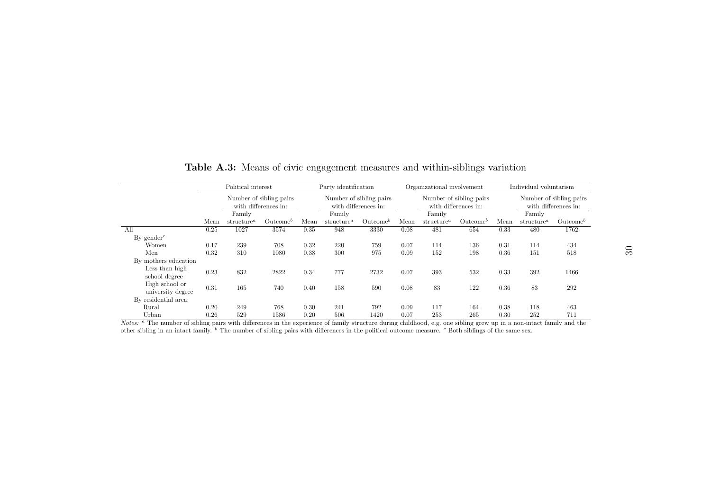|                                     |                                                 |                                     | Political interest<br>Party identification |                                                 |                                     |                      | Organizational involvement                      |                        |                      | Individual voluntarism                          |                        |                      |
|-------------------------------------|-------------------------------------------------|-------------------------------------|--------------------------------------------|-------------------------------------------------|-------------------------------------|----------------------|-------------------------------------------------|------------------------|----------------------|-------------------------------------------------|------------------------|----------------------|
|                                     | Number of sibling pairs<br>with differences in: |                                     |                                            | Number of sibling pairs<br>with differences in: |                                     |                      | Number of sibling pairs<br>with differences in: |                        |                      | Number of sibling pairs<br>with differences in: |                        |                      |
|                                     |                                                 | Family                              |                                            |                                                 | Family                              |                      |                                                 | Family                 |                      |                                                 | Family                 |                      |
|                                     | Mean                                            | structure <sup><math>a</math></sup> | $\mathrm{Outcome}^b$                       | Mean                                            | structure <sup><math>a</math></sup> | $\mathrm{Outcome}^b$ | Mean                                            | structure <sup>a</sup> | $\mathrm{Outcome}^b$ | Mean                                            | structure <sup>a</sup> | $\mathrm{Outcome}^b$ |
| All                                 | 0.25                                            | 1027                                | 3574                                       | 0.35                                            | 948                                 | 3330                 | 0.08                                            | 481                    | 654                  | 0.33                                            | 480                    | 1762                 |
| By gender <sup><math>c</math></sup> |                                                 |                                     |                                            |                                                 |                                     |                      |                                                 |                        |                      |                                                 |                        |                      |
| Women                               | 0.17                                            | 239                                 | 708                                        | 0.32                                            | 220                                 | 759                  | 0.07                                            | 114                    | 136                  | 0.31                                            | 114                    | 434                  |
| Men                                 | 0.32                                            | 310                                 | 1080                                       | 0.38                                            | 300                                 | 975                  | 0.09                                            | 152                    | 198                  | 0.36                                            | 151                    | 518                  |
| By mothers education                |                                                 |                                     |                                            |                                                 |                                     |                      |                                                 |                        |                      |                                                 |                        |                      |
| Less than high<br>school degree     | 0.23                                            | 832                                 | 2822                                       | 0.34                                            | 777                                 | 2732                 | 0.07                                            | 393                    | 532                  | 0.33                                            | 392                    | 1466                 |
| High school or<br>university degree | 0.31                                            | 165                                 | 740                                        | 0.40                                            | 158                                 | 590                  | 0.08                                            | 83                     | 122                  | 0.36                                            | 83                     | 292                  |
| By residential area:                |                                                 |                                     |                                            |                                                 |                                     |                      |                                                 |                        |                      |                                                 |                        |                      |
| Rural                               | 0.20                                            | 249                                 | 768                                        | 0.30                                            | 241                                 | 792                  | 0.09                                            | 117                    | 164                  | 0.38                                            | 118                    | 463                  |
| Urban                               | 0.26                                            | 529                                 | 1586                                       | 0.20                                            | 506                                 | 1420                 | 0.07                                            | 253                    | 265                  | 0.30                                            | 252                    | 711                  |

Table A.3: Means of civic engagement measures and within-siblings variation

Notes: <sup>a</sup> The number of sibling pairs with differences in the experience of family structure during childhood, e.g. one sibling grew up in a non-intact family and the other sibling in an intact family.  $\bar{b}$  The number of sibling pairs with differences in the political outcome measure.  $\bar{c}$  Both siblings of the same sex.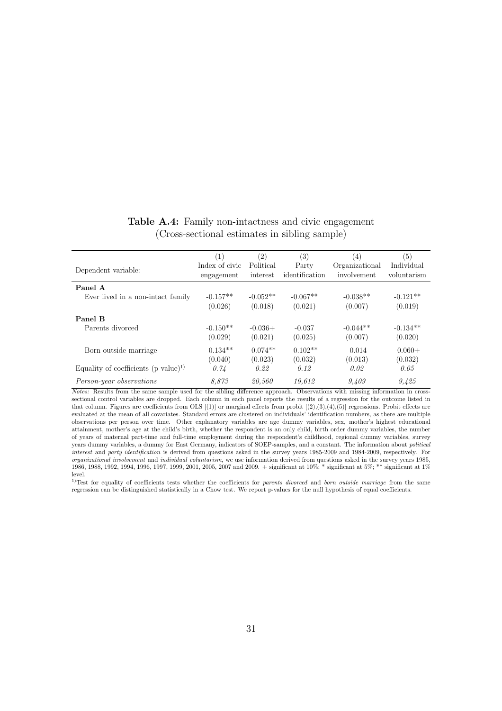| Dependent variable:                      | (1)<br>Index of civic<br>engagement | (2)<br>Political<br>interest | (3)<br>Party<br>identification | $^{(4)}$<br>Organizational<br>involvement | (5)<br>Individual<br>voluntarism |
|------------------------------------------|-------------------------------------|------------------------------|--------------------------------|-------------------------------------------|----------------------------------|
| Panel A                                  |                                     |                              |                                |                                           |                                  |
| Ever lived in a non-intact family        | $-0.157**$                          | $-0.052**$                   | $-0.067**$                     | $-0.038**$                                | $-0.121**$                       |
|                                          | (0.026)                             | (0.018)                      | (0.021)                        | (0.007)                                   | (0.019)                          |
| Panel B                                  |                                     |                              |                                |                                           |                                  |
| Parents divorced                         | $-0.150**$                          | $-0.036+$                    | $-0.037$                       | $-0.044**$                                | $-0.134**$                       |
|                                          | (0.029)                             | (0.021)                      | (0.025)                        | (0.007)                                   | (0.020)                          |
| Born outside marriage                    | $-0.134**$                          | $-0.074**$                   | $-0.102**$                     | $-0.014$                                  | $-0.060+$                        |
|                                          | (0.040)                             | (0.023)                      | (0.032)                        | (0.013)                                   | (0.032)                          |
| Equality of coefficients $(p-value)^{1}$ | 0.74                                | 0.22                         | 0.12                           | 0.02                                      | 0.05                             |
| Person-year observations                 | 8.873                               | 20,560                       | 19.612                         | 9,409                                     | 9,425                            |

## Table A.4: Family non-intactness and civic engagement (Cross-sectional estimates in sibling sample)

Notes: Results from the same sample used for the sibling difference approach. Observations with missing information in crosssectional control variables are dropped. Each column in each panel reports the results of a regression for the outcome listed in that column. Figures are coefficients from OLS  $[(1)]$  or marginal effects from probit  $[(2),(3),(4),(5)]$  regressions. Probit effects are evaluated at the mean of all covariates. Standard errors are clustered on individuals' identification numbers, as there are multiple observations per person over time. Other explanatory variables are age dummy variables, sex, mother's highest educational attainment, mother's age at the child's birth, whether the respondent is an only child, birth order dummy variables, the number of years of maternal part-time and full-time employment during the respondent's childhood, regional dummy variables, survey years dummy variables, a dummy for East Germany, indicators of SOEP-samples, and a constant. The information about political interest and party identification is derived from questions asked in the survey years 1985-2009 and 1984-2009, respectively. For organizational involvement and individual voluntarism, we use information derived from questions asked in the survey years 1985, 1986, 1988, 1992, 1994, 1996, 1997, 1999, 2001, 2005, 2007 and 2009. + significant at 10%; \* significant at 5%; \*\* significant at 1% level.

 $1)$ Test for equality of coefficients tests whether the coefficients for *parents divorced* and *born outside marriage* from the same regression can be distinguished statistically in a Chow test. We report p-values for the null hypothesis of equal coefficients.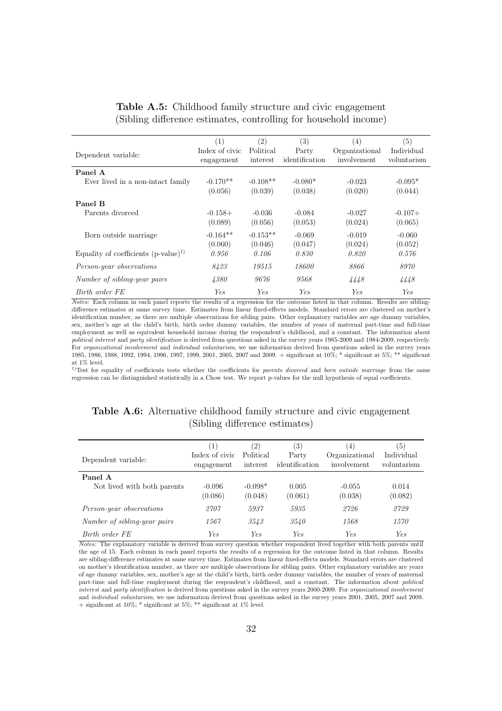|                                          | (1)            | (2)        | $\left( 3\right)$ | (4)            | (5)         |
|------------------------------------------|----------------|------------|-------------------|----------------|-------------|
| Dependent variable:                      | Index of civic | Political  | Party             | Organizational | Individual  |
|                                          | engagement     | interest   | identification    | involvement    | voluntarism |
| Panel A                                  |                |            |                   |                |             |
| Ever lived in a non-intact family        | $-0.170**$     | $-0.108**$ | $-0.080*$         | $-0.023$       | $-0.095*$   |
|                                          | (0.056)        | (0.039)    | (0.038)           | (0.020)        | (0.044)     |
| Panel B                                  |                |            |                   |                |             |
| Parents divorced                         | $-0.158+$      | $-0.036$   | $-0.084$          | $-0.027$       | $-0.107+$   |
|                                          | (0.089)        | (0.056)    | (0.053)           | (0.024)        | (0.065)     |
| Born outside marriage                    | $-0.164**$     | $-0.153**$ | $-0.069$          | $-0.019$       | $-0.060$    |
|                                          | (0.060)        | (0.046)    | (0.047)           | (0.024)        | (0.052)     |
| Equality of coefficients $(p-value)^{1}$ | 0.956          | 0.106      | 0.830             | 0.820          | 0.576       |
| <i>Person-year observations</i>          | 8423           | 19515      | <i>18600</i>      | 8866           | 8970        |
| Number of sibling-year pairs             | 4380           | 9676       | 9568              | 4448           | 4448        |
| Birth order FE                           | Ye.s           | <b>Yes</b> | Yes.              | <b>Yes</b>     | <b>Yes</b>  |

Table A.5: Childhood family structure and civic engagement (Sibling difference estimates, controlling for household income)

Notes: Each column in each panel reports the results of a regression for the outcome listed in that column. Results are siblingdifference estimates at same survey time. Estimates from linear fixed-effects models. Standard errors are clustered on mother's identification number, as there are multiple observations for sibling pairs. Other explanatory variables are age dummy variables, sex, mother's age at the child's birth, birth order dummy variables, the number of years of maternal part-time and full-time employment as well as equivalent household income during the respondent's childhood, and a constant. The information about political interest and party identification is derived from questions asked in the survey years 1985-2009 and 1984-2009, respectively. For *organizational involvement* and *individual voluntarism*, we use information derived from questions asked in the survey years 1985, 1986, 1988, 1992, 1994, 1996, 1997, 1999, 2001, 2005, 2007 and 2009. + significant at 10%; \* significant at 5%; \*\* significant at  $1\%$  level.

<sup>1)</sup>Test for equality of coefficients tests whether the coefficients for parents divorced and born outside marriage from the same regression can be distinguished statistically in a Chow test. We report p-values for the null hypothesis of equal coefficients.

| Dependent variable:                    | (1)<br>Index of civic<br>engagement | (2)<br>Political<br>interest | (3)<br>Party<br>identification | $\left(4\right)$<br>Organizational<br>involvement | (5)<br>Individual<br>voluntarism |
|----------------------------------------|-------------------------------------|------------------------------|--------------------------------|---------------------------------------------------|----------------------------------|
| Panel A<br>Not lived with both parents | $-0.096$<br>(0.086)                 | $-0.098*$<br>(0.048)         | 0.005<br>(0.061)               | $-0.055$<br>(0.038)                               | 0.014<br>(0.082)                 |
| Person-year observations               | 2707                                | 5937                         | 5935                           | 2726                                              | 2729                             |
| Number of sibling-year pairs           | 1567                                | 3543                         | 3540                           | 1568                                              | 1570                             |
| Birth order FE                         | <b>Yes</b>                          | <b>Yes</b>                   | <b>Yes</b>                     | Ye.s                                              | <b>Yes</b>                       |

### Table A.6: Alternative childhood family structure and civic engagement (Sibling difference estimates)

Notes: The explanatory variable is derived from survey question whether respondent lived together with both parents until the age of 15. Each column in each panel reports the results of a regression for the outcome listed in that column. Results are sibling-difference estimates at same survey time. Estimates from linear fixed-effects models. Standard errors are clustered on mother's identification number, as there are multiple observations for sibling pairs. Other explanatory variables are years of age dummy variables, sex, mother's age at the child's birth, birth order dummy variables, the number of years of maternal part-time and full-time employment during the respondent's childhood, and a constant. The information about political interest and party identification is derived from questions asked in the survey years 2000-2009. For organizational involvement and individual voluntarism, we use information derived from questions asked in the survey years 2001, 2005, 2007 and 2009.  $+$  significant at 10%;  $*$  significant at 5%;  $**$  significant at 1% level.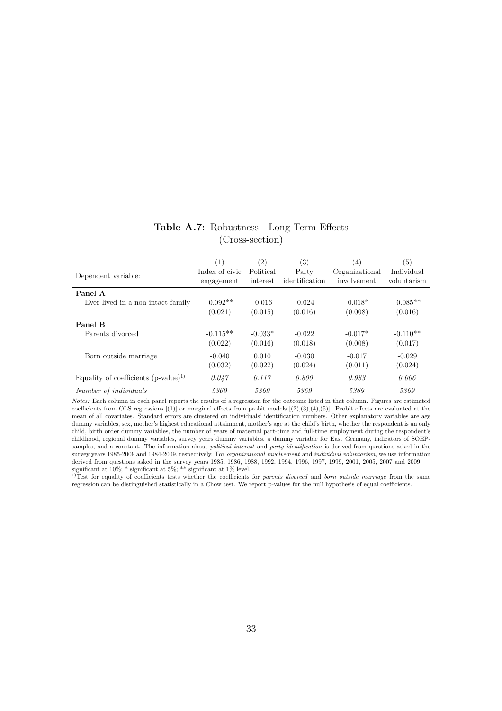| Table A.7: Robustness—Long-Term Effects |  |
|-----------------------------------------|--|
| (Cross-section)                         |  |

| Dependent variable:                      | (1)<br>Index of civic<br>engagement | (2)<br>Political<br>interest | (3)<br>Party<br>identification | $^{(4)}$<br>Organizational<br>involvement | (5)<br>Individual<br>voluntarism |
|------------------------------------------|-------------------------------------|------------------------------|--------------------------------|-------------------------------------------|----------------------------------|
| Panel A                                  |                                     |                              |                                |                                           |                                  |
| Ever lived in a non-intact family        | $-0.092**$                          | $-0.016$                     | $-0.024$                       | $-0.018*$                                 | $-0.085**$                       |
|                                          | (0.021)                             | (0.015)                      | (0.016)                        | (0.008)                                   | (0.016)                          |
| Panel B                                  |                                     |                              |                                |                                           |                                  |
| Parents divorced                         | $-0.115**$                          | $-0.033*$                    | $-0.022$                       | $-0.017*$                                 | $-0.110**$                       |
|                                          | (0.022)                             | (0.016)                      | (0.018)                        | (0.008)                                   | (0.017)                          |
| Born outside marriage                    | $-0.040$                            | 0.010                        | $-0.030$                       | $-0.017$                                  | $-0.029$                         |
|                                          | (0.032)                             | (0.022)                      | (0.024)                        | (0.011)                                   | (0.024)                          |
| Equality of coefficients $(p-value)^{1}$ | 0.047                               | 0.117                        | 0.800                          | 0.983                                     | 0.006                            |
| Number of individuals                    | 5369                                | 5369                         | 5369                           | 5369                                      | 5369                             |

Notes: Each column in each panel reports the results of a regression for the outcome listed in that column. Figures are estimated coefficients from OLS regressions  $[(1)]$  or marginal effects from probit models  $[(2),(3),(4),(5)]$ . Probit effects are evaluated at the mean of all covariates. Standard errors are clustered on individuals' identification numbers. Other explanatory variables are age dummy variables, sex, mother's highest educational attainment, mother's age at the child's birth, whether the respondent is an only child, birth order dummy variables, the number of years of maternal part-time and full-time employment during the respondent's childhood, regional dummy variables, survey years dummy variables, a dummy variable for East Germany, indicators of SOEPsamples, and a constant. The information about *political interest* and *party identification* is derived from questions asked in the survey years 1985-2009 and 1984-2009, respectively. For organizational involvement and individual voluntarism, we use information derived from questions asked in the survey years 1985, 1986, 1988, 1992, 1994, 1996, 1997, 1999, 2001, 2005, 2007 and 2009. + significant at  $10\%$ ; \* significant at  $5\%$ ; \*\* significant at  $1\%$  level.

<sup>1)</sup>Test for equality of coefficients tests whether the coefficients for *parents divorced* and *born outside marriage* from the same regression can be distinguished statistically in a Chow test. We report p-values for the null hypothesis of equal coefficients.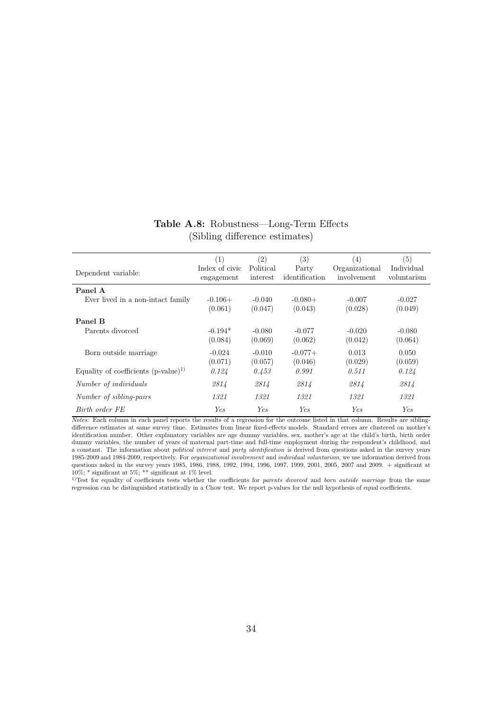### Table A.8: Robustness—Long-Term Effects (Sibling difference estimates)

|                                          | (1)                          | (2)                   | (3)                     | $\left(4\right)$              | (5)                       |
|------------------------------------------|------------------------------|-----------------------|-------------------------|-------------------------------|---------------------------|
| Dependent variable:                      | Index of civic<br>engagement | Political<br>interest | Party<br>identification | Organizational<br>involvement | Individual<br>voluntarism |
| Panel A                                  |                              |                       |                         |                               |                           |
| Ever lived in a non-intact family        | $-0.106+$                    | $-0.040$              | $-0.080+$               | $-0.007$                      | $-0.027$                  |
|                                          | (0.061)                      | (0.047)               | (0.043)                 | (0.028)                       | (0.049)                   |
| Panel B                                  |                              |                       |                         |                               |                           |
| Parents divorced                         | $-0.194*$                    | $-0.080$              | $-0.077$                | $-0.020$                      | $-0.080$                  |
|                                          | (0.084)                      | (0.069)               | (0.062)                 | (0.042)                       | (0.064)                   |
| Born outside marriage                    | $-0.024$                     | $-0.010$              | $-0.077+$               | 0.013                         | 0.050                     |
|                                          | (0.071)                      | (0.057)               | (0.046)                 | (0.029)                       | (0.059)                   |
| Equality of coefficients $(p-value)^{1}$ | 0.124                        | 0.453                 | 0.991                   | 0.511                         | 0.124                     |
| Number of <i>individuals</i>             | 2814                         | 2814                  | 2814                    | 2814                          | 2814                      |
| Number of sibling-pairs                  | 1321                         | 1321                  | 1321                    | 1321                          | 1321                      |
| Birth order FE                           | Yes.                         | <b>Yes</b>            | Yes.                    | Yes                           | Ye.s                      |

Notes: Each column in each panel reports the results of a regression for the outcome listed in that column. Results are siblingdifference estimates at same survey time. Estimates from linear fixed-effects models. Standard errors are clustered on mother's identification number. Other explanatory variables are age dummy variables, sex, mother's age at the child's birth, birth order dummy variables, the number of years of maternal part-time and full-time employment during the respondent's childhood, and a constant. The information about political interest and party identification is derived from questions asked in the survey years 1985-2009 and 1984-2009, respectively. For organizational involvement and individual voluntarism, we use information derived from questions asked in the survey years 1985, 1986, 1988, 1992, 1994, 1996, 1997, 1999, 2001, 2005, 2007 and 2009. + significant at 10%; \* significant at 5%; \*\* significant at 1% level.

1)Test for equality of coefficients tests whether the coefficients for parents divorced and born outside marriage from the same regression can be distinguished statistically in a Chow test. We report p-values for the null hypothesis of equal coefficients.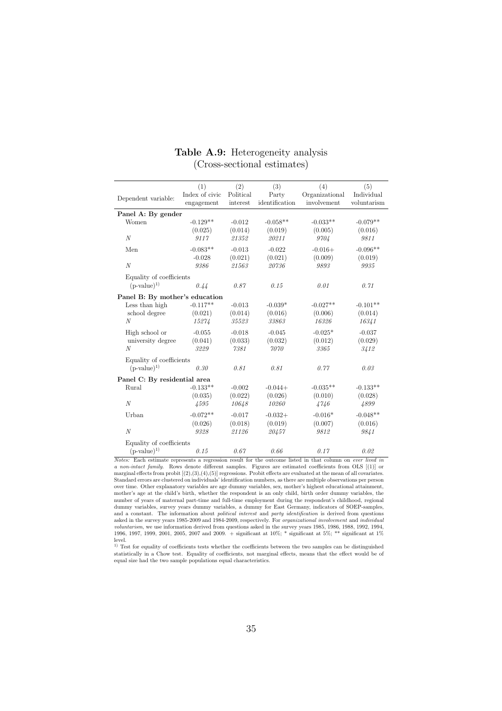|                                | (1)            | (2)       | (3)            | (4)            | (5)         |  |  |  |
|--------------------------------|----------------|-----------|----------------|----------------|-------------|--|--|--|
| Dependent variable:            | Index of civic | Political | Party          | Organizational | Individual  |  |  |  |
|                                | engagement     | interest  | identification | involvement    | voluntarism |  |  |  |
| Panel A: By gender             |                |           |                |                |             |  |  |  |
| Women                          | $-0.129**$     | $-0.012$  | $-0.058**$     | $-0.033**$     | $-0.079**$  |  |  |  |
|                                | (0.025)        | (0.014)   | (0.019)        | (0.005)        | (0.016)     |  |  |  |
| $\mathcal N$                   | 9117           | 21352     | 20211          | 9704           | 9811        |  |  |  |
| Men                            | $-0.083**$     | $-0.013$  | $-0.022$       | $-0.016+$      | $-0.096**$  |  |  |  |
|                                | $-0.028$       | (0.021)   | (0.021)        | (0.009)        | (0.019)     |  |  |  |
| $\mathcal N$                   | 9386           | 21563     | 20736          | 9893           | 9935        |  |  |  |
| Equality of coefficients       |                |           |                |                |             |  |  |  |
| $(p-value)^{1}$                | 0.44           | 0.87      | 0.15           | 0.01           | 0.71        |  |  |  |
| Panel B: By mother's education |                |           |                |                |             |  |  |  |
| Less than high                 | $-0.117**$     | $-0.013$  | $-0.039*$      | $-0.027**$     | $-0.101**$  |  |  |  |
| school degree                  | (0.021)        | (0.014)   | (0.016)        | (0.006)        | (0.014)     |  |  |  |
| N                              | 15274          | 35523     | 33863          | 16326          | 16341       |  |  |  |
| High school or                 | $-0.055$       | $-0.018$  | $-0.045$       | $-0.025*$      | $-0.037$    |  |  |  |
| university degree              | (0.041)        | (0.033)   | (0.032)        | (0.012)        | (0.029)     |  |  |  |
| N                              | 3229           | 7381      | 7070           | 3365           | 3412        |  |  |  |
| Equality of coefficients       |                |           |                |                |             |  |  |  |
| $(p-value)^{1}$                | 0.30           | 0.81      | 0.81           | 0.77           | 0.03        |  |  |  |
| Panel C: By residential area   |                |           |                |                |             |  |  |  |
| Rural                          | $-0.133**$     | $-0.002$  | $-0.044+$      | $-0.035**$     | $-0.133**$  |  |  |  |
|                                | (0.035)        | (0.022)   | (0.026)        | (0.010)        | (0.028)     |  |  |  |
| $\mathcal N$                   | 4595           | 10648     | 10260          | 4746           | 4899        |  |  |  |
| Urban                          | $-0.072**$     | $-0.017$  | $-0.032+$      | $-0.016*$      | $-0.048**$  |  |  |  |
|                                | (0.026)        | (0.018)   | (0.019)        | (0.007)        | (0.016)     |  |  |  |
| $\mathcal N$                   | 9328           | 21126     | 20457          | 9812           | 9841        |  |  |  |
| Equality of coefficients       |                |           |                |                |             |  |  |  |
| $(p-value)^{1}$                | 0.15           | 0.67      | 0.66           | 0.17           | 0.02        |  |  |  |

### Table A.9: Heterogeneity analysis (Cross-sectional estimates)

Notes: Each estimate represents a regression result for the outcome listed in that column on ever lived in a non-intact family. Rows denote different samples. Figures are estimated coefficients from OLS [(1)] or marginal effects from probit [(2),(3),(4),(5)] regressions. Probit effects are evaluated at the mean of all covariates.<br>Standard errors are clustered on individuals' identification numbers, as there are multiple observatio over time. Other explanatory variables are age dummy variables, sex, mother's highest educational attainment, mother's age at the child's birth, whether the respondent is an only child, birth order dummy variables, the number of years of maternal part-time and full-time employment during the respondent's childhood, regional dummy variables, survey years dummy variables, a dummy for East Germany, indicators of SOEP-samples, and a constant. The information about *political interest* and *party identification* is derived from questions asked in the survey years 1985-2009 and 1984-2009, respectively. For *organizational involvement* and *individual*<br>voluntarism, we use information derived from questions asked in the survey years 1985, 1986, 1988, 1992, 19 level.

<sup>1)</sup> Test for equality of coefficients tests whether the coefficients between the two samples can be distinguished statistically in a Chow test. Equality of coefficients, not marginal effects, means that the effect would be of equal size had the two sample populations equal characteristics.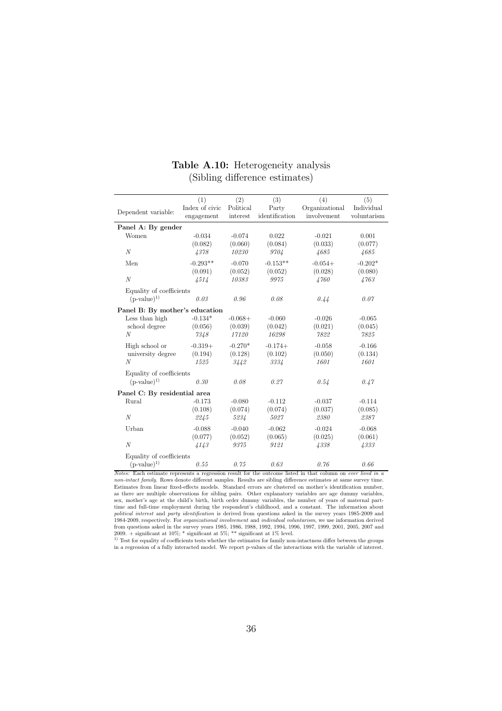|                                | (1)            | (2)       | (3)            | (4)            | (5)         |  |
|--------------------------------|----------------|-----------|----------------|----------------|-------------|--|
| Dependent variable:            | Index of civic | Political | Party          | Organizational | Individual  |  |
|                                | engagement     | interest  | identification | involvement    | voluntarism |  |
| Panel A: By gender             |                |           |                |                |             |  |
| Women                          | $-0.034$       | $-0.074$  | 0.022          | $-0.021$       | 0.001       |  |
|                                | (0.082)        | (0.060)   | (0.084)        | (0.033)        | (0.077)     |  |
| N                              | 4378           | 10230     | 9704           | 4685           | 4685        |  |
| Men                            | $-0.293**$     | $-0.070$  | $-0.153**$     | $-0.054+$      | $-0.202*$   |  |
|                                | (0.091)        | (0.052)   | (0.052)        | (0.028)        | (0.080)     |  |
| N                              | 4514           | 10383     | 9975           | 4760           | 4763        |  |
| Equality of coefficients       |                |           |                |                |             |  |
| $(p-value)^{1}$                | 0.03           | 0.96      | 0.08           | 0.44           | 0.07        |  |
| Panel B: By mother's education |                |           |                |                |             |  |
| Less than high                 | $-0.134*$      | $-0.068+$ | $-0.060$       | $-0.026$       | $-0.065$    |  |
| school degree                  | (0.056)        | (0.039)   | (0.042)        | (0.021)        | (0.045)     |  |
| N                              | 7348           | 17120     | 16298          | 7822           | 7825        |  |
| High school or                 | $-0.319+$      | $-0.270*$ | $-0.174+$      | $-0.058$       | $-0.166$    |  |
| university degree              | (0.194)        | (0.128)   | (0.102)        | (0.050)        | (0.134)     |  |
| N                              | 1525           | 3442      | 3334           | 1601           | 1601        |  |
| Equality of coefficients       |                |           |                |                |             |  |
| $(p-value)^{1}$                | 0.30           | 0.08      | 0.27           | 0.54           | 0.47        |  |
| Panel C: By residential area   |                |           |                |                |             |  |
| Rural                          | $-0.173$       | $-0.080$  | $-0.112$       | $-0.037$       | $-0.114$    |  |
|                                | (0.108)        | (0.074)   | (0.074)        | (0.037)        | (0.085)     |  |
| $\boldsymbol{N}$               | 2245           | 5234      | 5027           | 2380           | 2387        |  |
| Urban                          | $-0.088$       | $-0.040$  | $-0.062$       | $-0.024$       | $-0.068$    |  |
|                                | (0.077)        | (0.052)   | (0.065)        | (0.025)        | (0.061)     |  |
| $\cal N$                       | 4143           | 9375      | 9121           | 4338           | 4333        |  |
| Equality of coefficients       |                |           |                |                |             |  |
| $(p-value)^{1}$                | 0.55           | 0.75      | 0.63           | 0.76           | 0.66        |  |

## Table A.10: Heterogeneity analysis (Sibling difference estimates)

Notes: Each estimate represents a regression result for the outcome listed in that column on ever lived in a non-intact family. Rows denote different samples. Results are sibling difference estimates at same survey time.<br>Estimates from linear fixed-effects models. Standard errors are clustered on mother's identification number, as there are multiple observations for sibling pairs. Other explanatory variables are age dummy variables, sex, mother's age at the child's birth, birth order dummy variables, the number of years of maternal parttime and full-time employment during the respondent's childhood, and a constant. The information about political interest and party identification is derived from questions asked in the survey years 1985-2009 and 1984-2009, respectively. For *organizational involuement* and *individual voluntarism*, we use information derived from questions asked in the survey years 1985, 1986, 1988, 1992, 1994, 1996, 1997, 1999, 2001, 2005, 2007

in a regression of a fully interacted model. We report p-values of the interactions with the variable of interest.